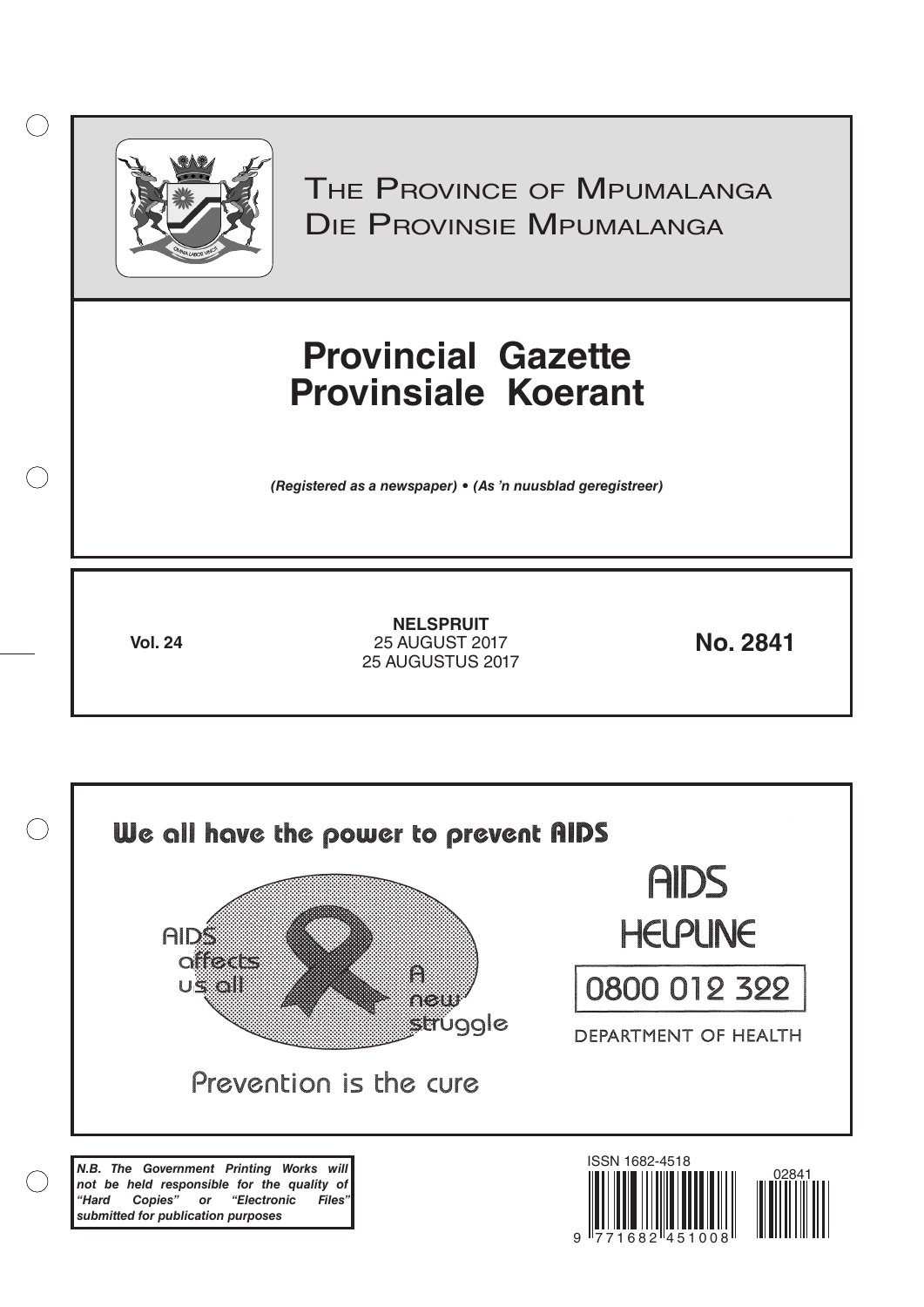

 $( )$ 

THE PROVINCE OF MPUMALANGA Die Provinsie Mpumalanga

# **Provincial Gazette Provinsiale Koerant**

*(Registered as a newspaper) • (As 'n nuusblad geregistreer)*

**Vol. 24 No. 2841** 25 AUGUST 2017 **NELSPRUIT** 25 AUGUSTUS 2017

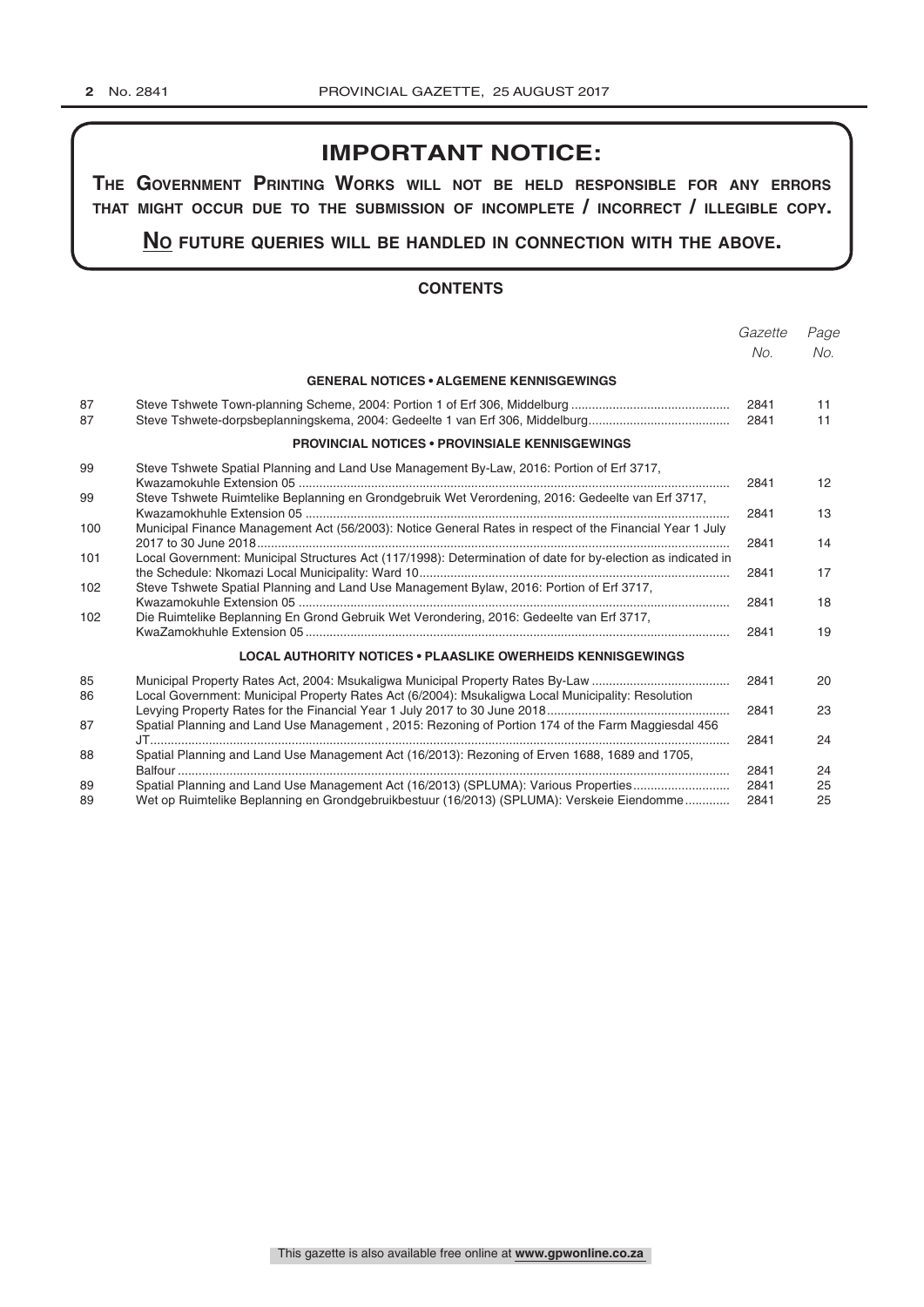# **IMPORTANT NOTICE:**

**The GovernmenT PrinTinG Works Will noT be held resPonsible for any errors ThaT miGhT occur due To The submission of incomPleTe / incorrecT / illeGible coPy.**

# **no fuTure queries Will be handled in connecTion WiTh The above.**

# **CONTENTS**

|            |                                                                                                                                                                                                                          | Gazette              | Page           |
|------------|--------------------------------------------------------------------------------------------------------------------------------------------------------------------------------------------------------------------------|----------------------|----------------|
|            |                                                                                                                                                                                                                          | No.                  | No.            |
|            | <b>GENERAL NOTICES • ALGEMENE KENNISGEWINGS</b>                                                                                                                                                                          |                      |                |
| 87<br>87   |                                                                                                                                                                                                                          | 2841<br>2841         | 11<br>11       |
|            | <b>PROVINCIAL NOTICES • PROVINSIALE KENNISGEWINGS</b>                                                                                                                                                                    |                      |                |
| 99         | Steve Tshwete Spatial Planning and Land Use Management By-Law, 2016: Portion of Erf 3717,                                                                                                                                | 2841                 | 12             |
| 99         | Steve Tshwete Ruimtelike Beplanning en Grondgebruik Wet Verordening, 2016: Gedeelte van Erf 3717,                                                                                                                        | 2841                 | 13             |
| 100<br>101 | Municipal Finance Management Act (56/2003): Notice General Rates in respect of the Financial Year 1 July<br>Local Government: Municipal Structures Act (117/1998): Determination of date for by-election as indicated in | 2841                 | 14             |
| 102        | Steve Tshwete Spatial Planning and Land Use Management Bylaw, 2016: Portion of Erf 3717,                                                                                                                                 | 2841                 | 17             |
| 102        | Die Ruimtelike Beplanning En Grond Gebruik Wet Verondering, 2016: Gedeelte van Erf 3717,                                                                                                                                 | 2841                 | 18             |
|            |                                                                                                                                                                                                                          | 2841                 | 19             |
|            | <b>LOCAL AUTHORITY NOTICES • PLAASLIKE OWERHEIDS KENNISGEWINGS</b>                                                                                                                                                       |                      |                |
| 85<br>86   | Local Government: Municipal Property Rates Act (6/2004): Msukaligwa Local Municipality: Resolution                                                                                                                       | 2841                 | 20             |
| 87         | Spatial Planning and Land Use Management, 2015: Rezoning of Portion 174 of the Farm Maggiesdal 456                                                                                                                       | 2841                 | 23             |
| 88         | Spatial Planning and Land Use Management Act (16/2013): Rezoning of Erven 1688, 1689 and 1705,                                                                                                                           | 2841                 | 24             |
| 89<br>89   | Spatial Planning and Land Use Management Act (16/2013) (SPLUMA): Various Properties<br>Wet op Ruimtelike Beplanning en Grondgebruikbestuur (16/2013) (SPLUMA): Verskeie Eiendomme                                        | 2841<br>2841<br>2841 | 24<br>25<br>25 |
|            |                                                                                                                                                                                                                          |                      |                |

This gazette is also available free online at **www.gpwonline.co.za**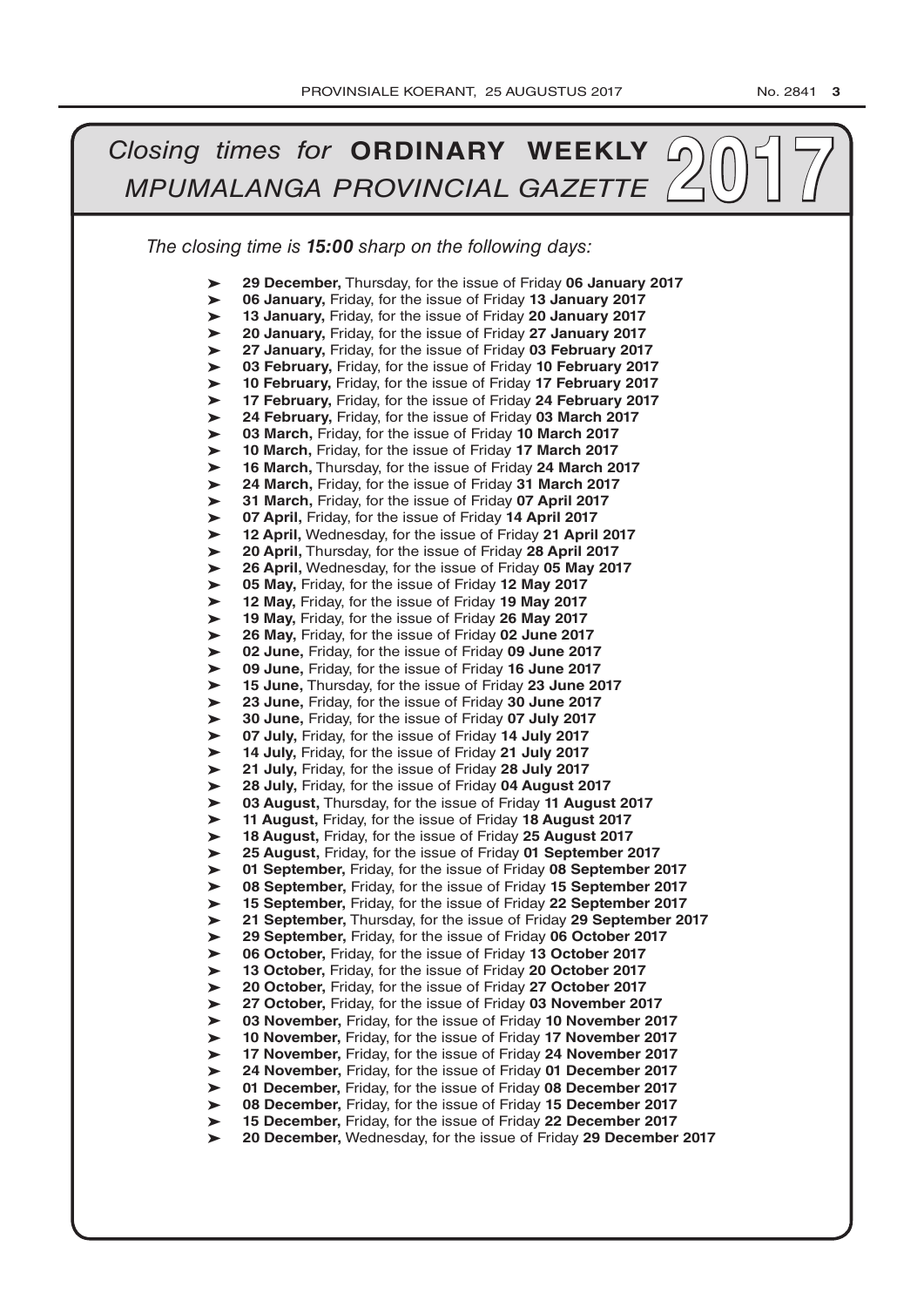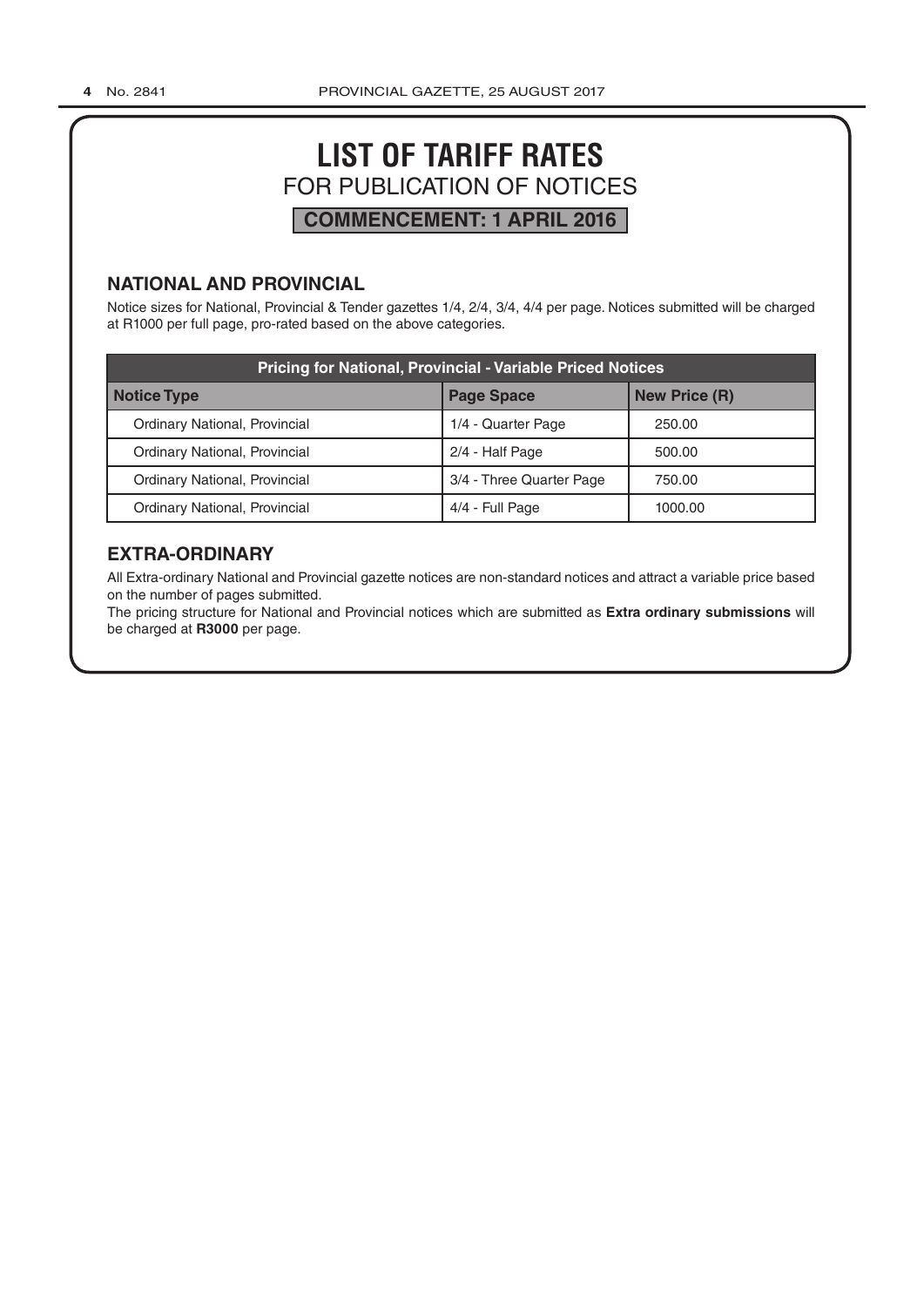# **LIST OF TARIFF RATES** FOR PUBLICATION OF NOTICES **COMMENCEMENT: 1 APRIL 2016**

# **NATIONAL AND PROVINCIAL**

Notice sizes for National, Provincial & Tender gazettes 1/4, 2/4, 3/4, 4/4 per page. Notices submitted will be charged at R1000 per full page, pro-rated based on the above categories.

| <b>Pricing for National, Provincial - Variable Priced Notices</b> |                          |                      |  |
|-------------------------------------------------------------------|--------------------------|----------------------|--|
| Notice Type                                                       | <b>Page Space</b>        | <b>New Price (R)</b> |  |
| Ordinary National, Provincial                                     | 1/4 - Quarter Page       | 250.00               |  |
| Ordinary National, Provincial                                     | 2/4 - Half Page          | 500.00               |  |
| Ordinary National, Provincial                                     | 3/4 - Three Quarter Page | 750.00               |  |
| Ordinary National, Provincial                                     | 4/4 - Full Page          | 1000.00              |  |

# **EXTRA-ORDINARY**

All Extra-ordinary National and Provincial gazette notices are non-standard notices and attract a variable price based on the number of pages submitted.

The pricing structure for National and Provincial notices which are submitted as **Extra ordinary submissions** will be charged at **R3000** per page.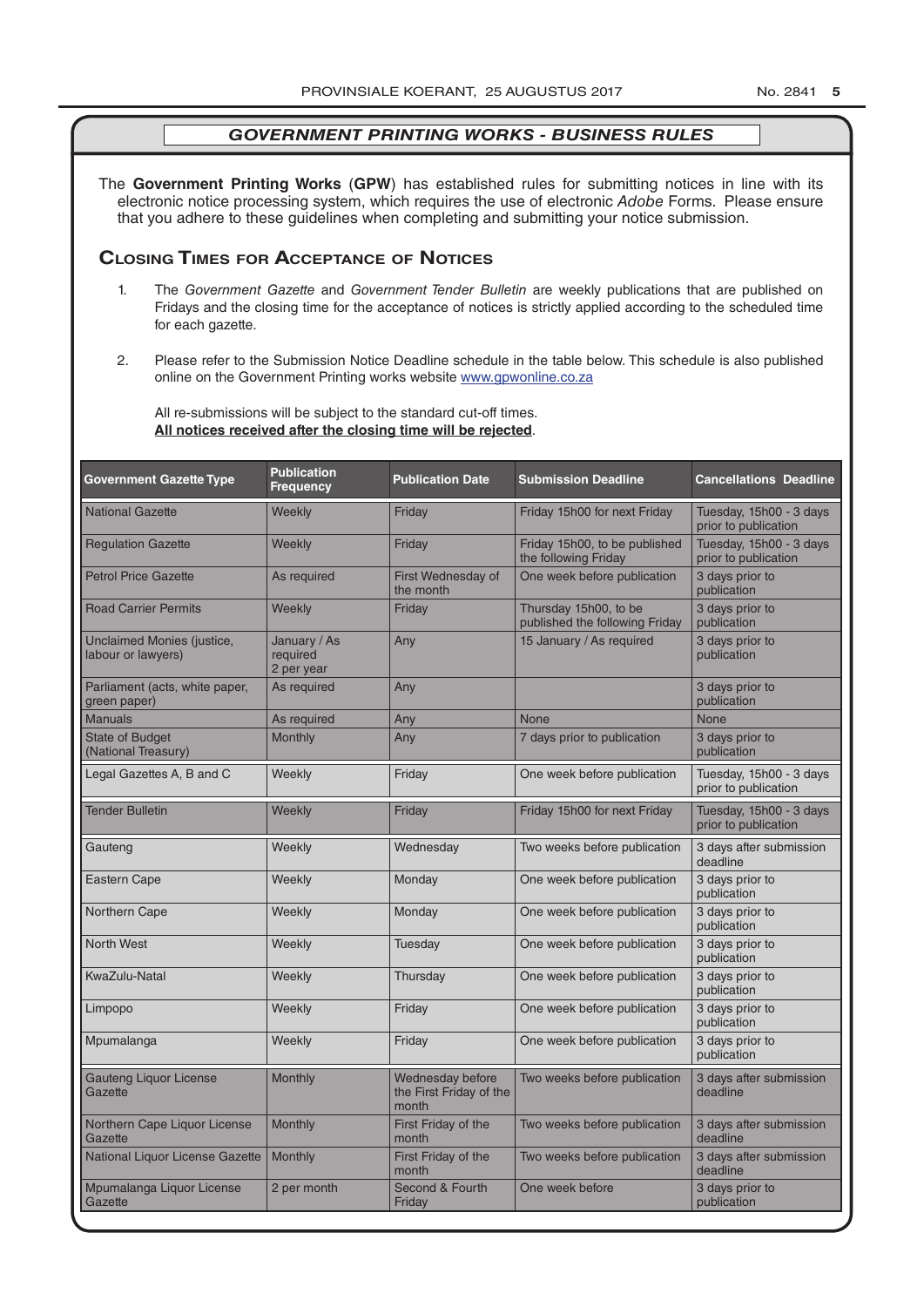The **Government Printing Works** (**GPW**) has established rules for submitting notices in line with its electronic notice processing system, which requires the use of electronic *Adobe* Forms. Please ensure that you adhere to these guidelines when completing and submitting your notice submission.

# **Closing Times for ACCepTAnCe of noTiCes**

- 1. The *Government Gazette* and *Government Tender Bulletin* are weekly publications that are published on Fridays and the closing time for the acceptance of notices is strictly applied according to the scheduled time for each gazette.
- 2. Please refer to the Submission Notice Deadline schedule in the table below. This schedule is also published online on the Government Printing works website www.gpwonline.co.za

All re-submissions will be subject to the standard cut-off times. **All notices received after the closing time will be rejected**.

| <b>Government Gazette Type</b>                   | <b>Publication</b><br><b>Frequency</b> | <b>Publication Date</b>                              | <b>Submission Deadline</b>                              | <b>Cancellations Deadline</b>                   |
|--------------------------------------------------|----------------------------------------|------------------------------------------------------|---------------------------------------------------------|-------------------------------------------------|
| <b>National Gazette</b>                          | Weekly                                 | Friday                                               | Friday 15h00 for next Friday                            | Tuesday, 15h00 - 3 days<br>prior to publication |
| <b>Regulation Gazette</b>                        | Weekly                                 | Friday                                               | Friday 15h00, to be published<br>the following Friday   | Tuesday, 15h00 - 3 days<br>prior to publication |
| <b>Petrol Price Gazette</b>                      | As required                            | First Wednesday of<br>the month                      | One week before publication                             | 3 days prior to<br>publication                  |
| <b>Road Carrier Permits</b>                      | Weekly                                 | Friday                                               | Thursday 15h00, to be<br>published the following Friday | 3 days prior to<br>publication                  |
| Unclaimed Monies (justice,<br>labour or lawyers) | January / As<br>required<br>2 per year | Any                                                  | 15 January / As required                                | 3 days prior to<br>publication                  |
| Parliament (acts, white paper,<br>green paper)   | As required                            | Any                                                  |                                                         | 3 days prior to<br>publication                  |
| <b>Manuals</b>                                   | As required                            | Any                                                  | <b>None</b>                                             | <b>None</b>                                     |
| <b>State of Budget</b><br>(National Treasury)    | <b>Monthly</b>                         | Any                                                  | 7 days prior to publication                             | 3 days prior to<br>publication                  |
| Legal Gazettes A, B and C                        | Weekly                                 | Friday                                               | One week before publication                             | Tuesday, 15h00 - 3 days<br>prior to publication |
| <b>Tender Bulletin</b>                           | Weekly                                 | Friday                                               | Friday 15h00 for next Friday                            | Tuesday, 15h00 - 3 days<br>prior to publication |
| Gauteng                                          | Weekly                                 | Wednesday                                            | Two weeks before publication                            | 3 days after submission<br>deadline             |
| <b>Eastern Cape</b>                              | Weekly                                 | Monday                                               | One week before publication                             | 3 days prior to<br>publication                  |
| Northern Cape                                    | Weekly                                 | Monday                                               | One week before publication                             | 3 days prior to<br>publication                  |
| <b>North West</b>                                | Weekly                                 | Tuesday                                              | One week before publication                             | 3 days prior to<br>publication                  |
| KwaZulu-Natal                                    | Weekly                                 | Thursday                                             | One week before publication                             | 3 days prior to<br>publication                  |
| Limpopo                                          | Weekly                                 | Friday                                               | One week before publication                             | 3 days prior to<br>publication                  |
| Mpumalanga                                       | Weekly                                 | Friday                                               | One week before publication                             | 3 days prior to<br>publication                  |
| <b>Gauteng Liquor License</b><br>Gazette         | Monthly                                | Wednesday before<br>the First Friday of the<br>month | Two weeks before publication                            | 3 days after submission<br>deadline             |
| Northern Cape Liquor License<br>Gazette          | Monthly                                | First Friday of the<br>month                         | Two weeks before publication                            | 3 days after submission<br>deadline             |
| National Liquor License Gazette                  | Monthly                                | First Friday of the<br>month                         | Two weeks before publication                            | 3 days after submission<br>deadline             |
| Mpumalanga Liquor License<br>Gazette             | 2 per month                            | Second & Fourth<br>Friday                            | One week before                                         | 3 days prior to<br>publication                  |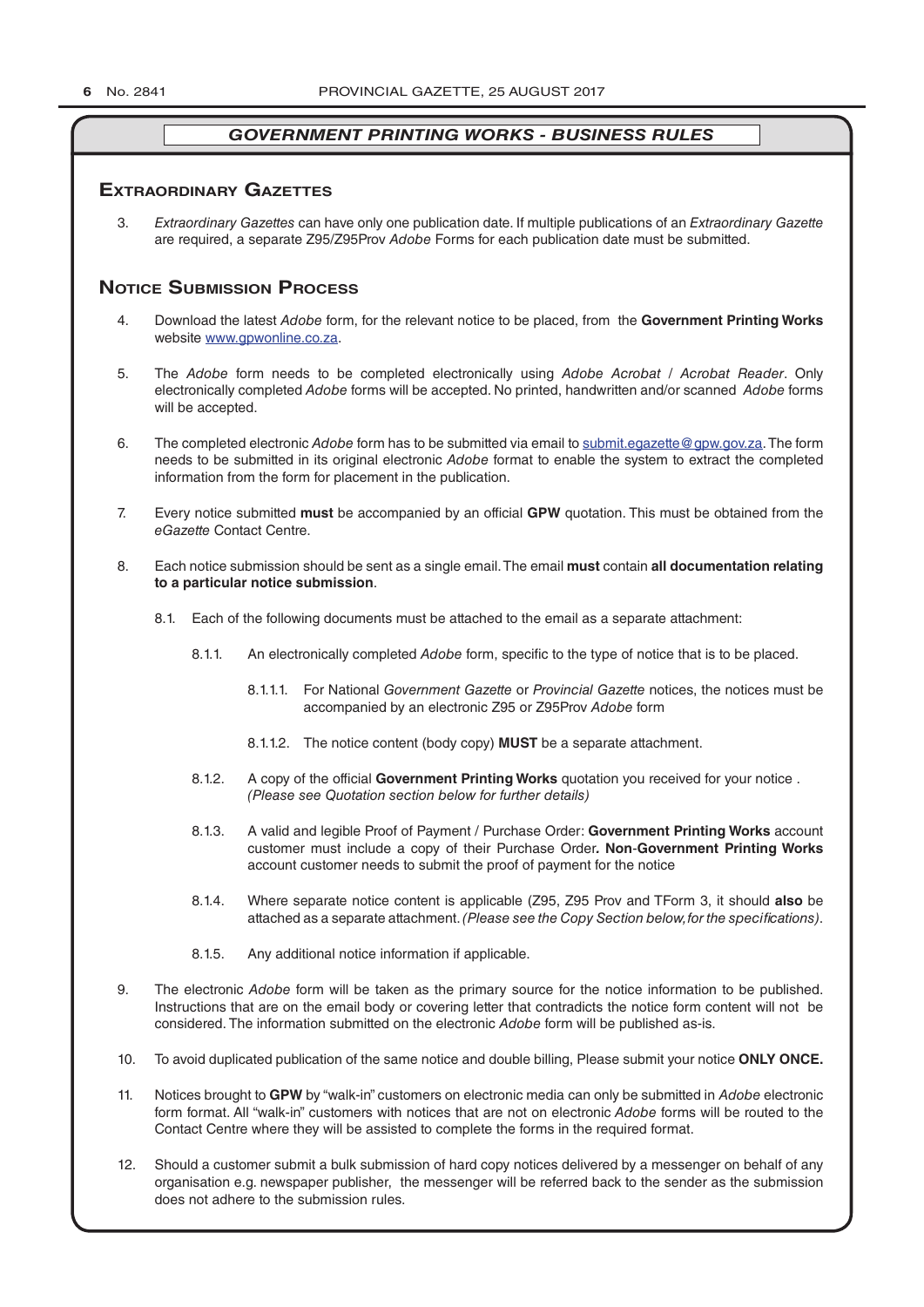### **exTrAordinAry gAzeTTes**

3. *Extraordinary Gazettes* can have only one publication date. If multiple publications of an *Extraordinary Gazette* are required, a separate Z95/Z95Prov *Adobe* Forms for each publication date must be submitted.

# **NOTICE SUBMISSION PROCESS**

- 4. Download the latest *Adobe* form, for the relevant notice to be placed, from the **Government Printing Works** website www.gpwonline.co.za.
- 5. The *Adobe* form needs to be completed electronically using *Adobe Acrobat* / *Acrobat Reader*. Only electronically completed *Adobe* forms will be accepted. No printed, handwritten and/or scanned *Adobe* forms will be accepted.
- 6. The completed electronic *Adobe* form has to be submitted via email to submit.egazette@gpw.gov.za. The form needs to be submitted in its original electronic *Adobe* format to enable the system to extract the completed information from the form for placement in the publication.
- 7. Every notice submitted **must** be accompanied by an official **GPW** quotation. This must be obtained from the *eGazette* Contact Centre.
- 8. Each notice submission should be sent as a single email. The email **must** contain **all documentation relating to a particular notice submission**.
	- 8.1. Each of the following documents must be attached to the email as a separate attachment:
		- 8.1.1. An electronically completed *Adobe* form, specific to the type of notice that is to be placed.
			- 8.1.1.1. For National *Government Gazette* or *Provincial Gazette* notices, the notices must be accompanied by an electronic Z95 or Z95Prov *Adobe* form
			- 8.1.1.2. The notice content (body copy) **MUST** be a separate attachment.
		- 8.1.2. A copy of the official **Government Printing Works** quotation you received for your notice . *(Please see Quotation section below for further details)*
		- 8.1.3. A valid and legible Proof of Payment / Purchase Order: **Government Printing Works** account customer must include a copy of their Purchase Order*.* **Non**-**Government Printing Works** account customer needs to submit the proof of payment for the notice
		- 8.1.4. Where separate notice content is applicable (Z95, Z95 Prov and TForm 3, it should **also** be attached as a separate attachment. *(Please see the Copy Section below, for the specifications)*.
		- 8.1.5. Any additional notice information if applicable.
- 9. The electronic *Adobe* form will be taken as the primary source for the notice information to be published. Instructions that are on the email body or covering letter that contradicts the notice form content will not be considered. The information submitted on the electronic *Adobe* form will be published as-is.
- 10. To avoid duplicated publication of the same notice and double billing, Please submit your notice **ONLY ONCE.**
- 11. Notices brought to **GPW** by "walk-in" customers on electronic media can only be submitted in *Adobe* electronic form format. All "walk-in" customers with notices that are not on electronic *Adobe* forms will be routed to the Contact Centre where they will be assisted to complete the forms in the required format.
- 12. Should a customer submit a bulk submission of hard copy notices delivered by a messenger on behalf of any organisation e.g. newspaper publisher, the messenger will be referred back to the sender as the submission does not adhere to the submission rules.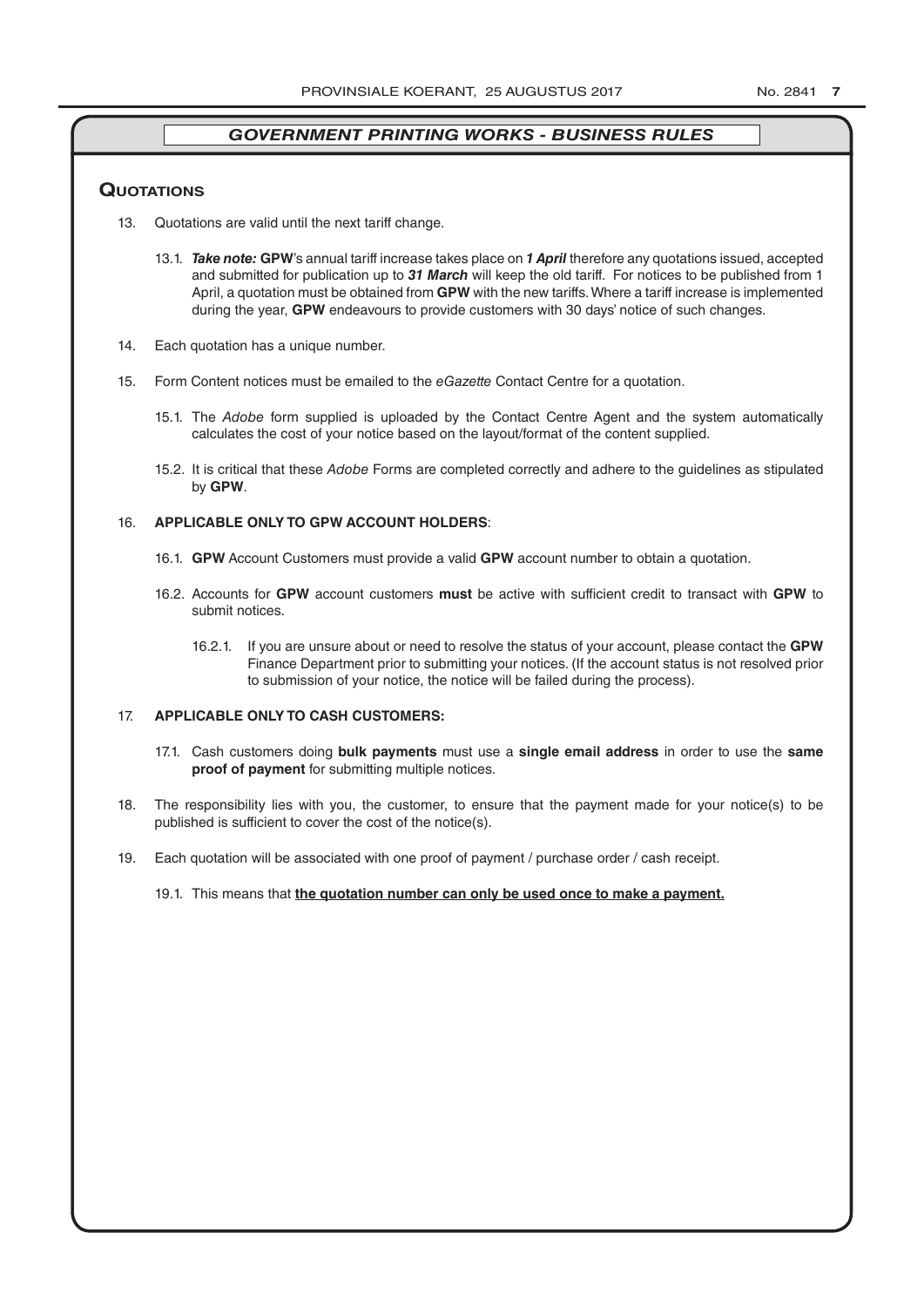# **QuoTATions**

- 13. Quotations are valid until the next tariff change.
	- 13.1. *Take note:* **GPW**'s annual tariff increase takes place on *1 April* therefore any quotations issued, accepted and submitted for publication up to *31 March* will keep the old tariff. For notices to be published from 1 April, a quotation must be obtained from **GPW** with the new tariffs. Where a tariff increase is implemented during the year, **GPW** endeavours to provide customers with 30 days' notice of such changes.
- 14. Each quotation has a unique number.
- 15. Form Content notices must be emailed to the *eGazette* Contact Centre for a quotation.
	- 15.1. The *Adobe* form supplied is uploaded by the Contact Centre Agent and the system automatically calculates the cost of your notice based on the layout/format of the content supplied.
	- 15.2. It is critical that these *Adobe* Forms are completed correctly and adhere to the guidelines as stipulated by **GPW**.

#### 16. **APPLICABLE ONLY TO GPW ACCOUNT HOLDERS**:

- 16.1. **GPW** Account Customers must provide a valid **GPW** account number to obtain a quotation.
- 16.2. Accounts for **GPW** account customers **must** be active with sufficient credit to transact with **GPW** to submit notices.
	- 16.2.1. If you are unsure about or need to resolve the status of your account, please contact the **GPW** Finance Department prior to submitting your notices. (If the account status is not resolved prior to submission of your notice, the notice will be failed during the process).

### 17. **APPLICABLE ONLY TO CASH CUSTOMERS:**

- 17.1. Cash customers doing **bulk payments** must use a **single email address** in order to use the **same proof of payment** for submitting multiple notices.
- 18. The responsibility lies with you, the customer, to ensure that the payment made for your notice(s) to be published is sufficient to cover the cost of the notice(s).
- 19. Each quotation will be associated with one proof of payment / purchase order / cash receipt.
	- 19.1. This means that **the quotation number can only be used once to make a payment.**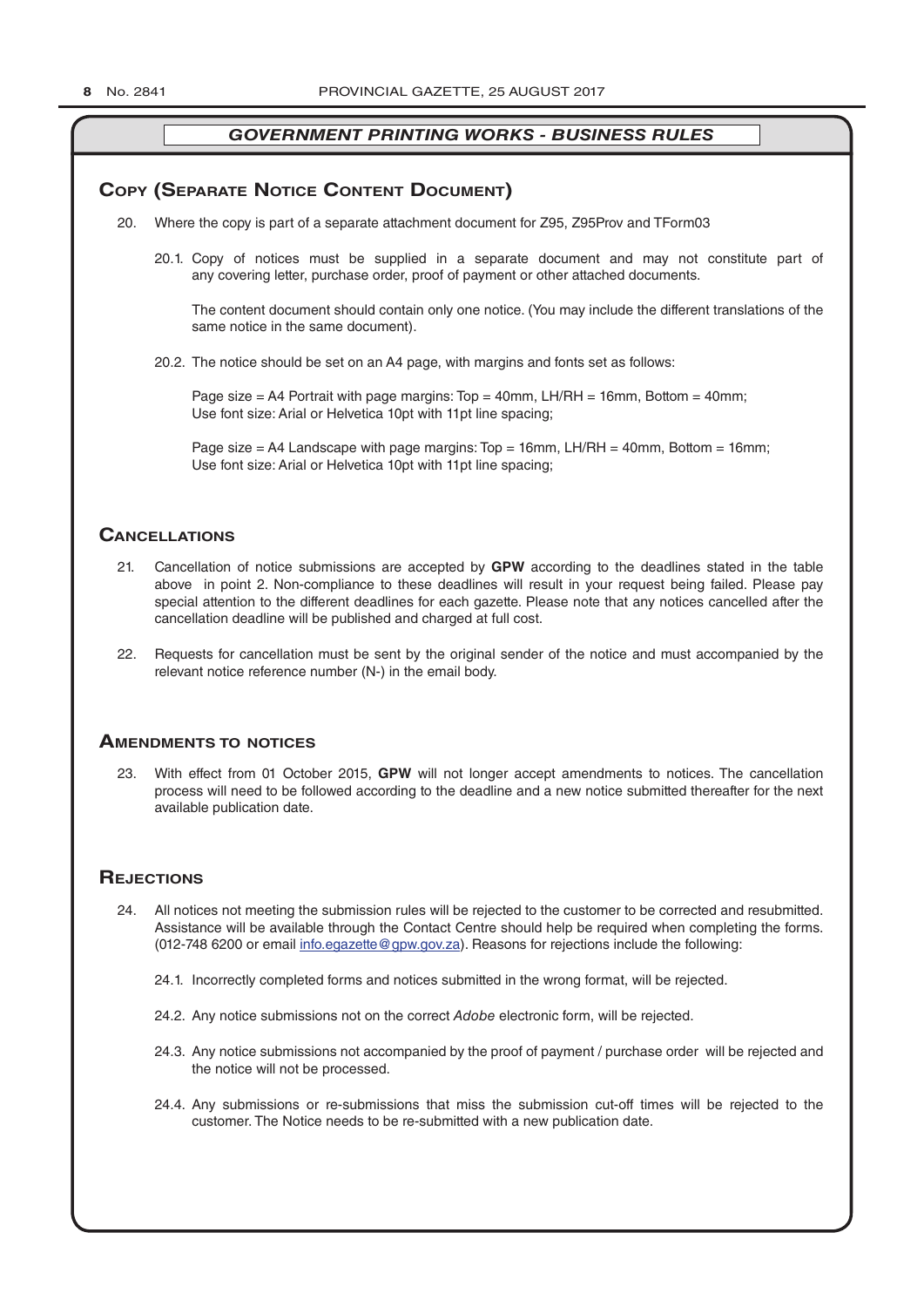# **COPY (SEPARATE NOTICE CONTENT DOCUMENT)**

- 20. Where the copy is part of a separate attachment document for Z95, Z95Prov and TForm03
	- 20.1. Copy of notices must be supplied in a separate document and may not constitute part of any covering letter, purchase order, proof of payment or other attached documents.

The content document should contain only one notice. (You may include the different translations of the same notice in the same document).

20.2. The notice should be set on an A4 page, with margins and fonts set as follows:

Page size  $=$  A4 Portrait with page margins: Top  $=$  40mm, LH/RH  $=$  16mm, Bottom  $=$  40mm; Use font size: Arial or Helvetica 10pt with 11pt line spacing;

Page size = A4 Landscape with page margins: Top = 16mm, LH/RH = 40mm, Bottom = 16mm; Use font size: Arial or Helvetica 10pt with 11pt line spacing;

# **CAnCellATions**

- 21. Cancellation of notice submissions are accepted by **GPW** according to the deadlines stated in the table above in point 2. Non-compliance to these deadlines will result in your request being failed. Please pay special attention to the different deadlines for each gazette. Please note that any notices cancelled after the cancellation deadline will be published and charged at full cost.
- 22. Requests for cancellation must be sent by the original sender of the notice and must accompanied by the relevant notice reference number (N-) in the email body.

# **AmendmenTs To noTiCes**

23. With effect from 01 October 2015, **GPW** will not longer accept amendments to notices. The cancellation process will need to be followed according to the deadline and a new notice submitted thereafter for the next available publication date.

# **REJECTIONS**

- 24. All notices not meeting the submission rules will be rejected to the customer to be corrected and resubmitted. Assistance will be available through the Contact Centre should help be required when completing the forms. (012-748 6200 or email info.egazette@gpw.gov.za). Reasons for rejections include the following:
	- 24.1. Incorrectly completed forms and notices submitted in the wrong format, will be rejected.
	- 24.2. Any notice submissions not on the correct *Adobe* electronic form, will be rejected.
	- 24.3. Any notice submissions not accompanied by the proof of payment / purchase order will be rejected and the notice will not be processed.
	- 24.4. Any submissions or re-submissions that miss the submission cut-off times will be rejected to the customer. The Notice needs to be re-submitted with a new publication date.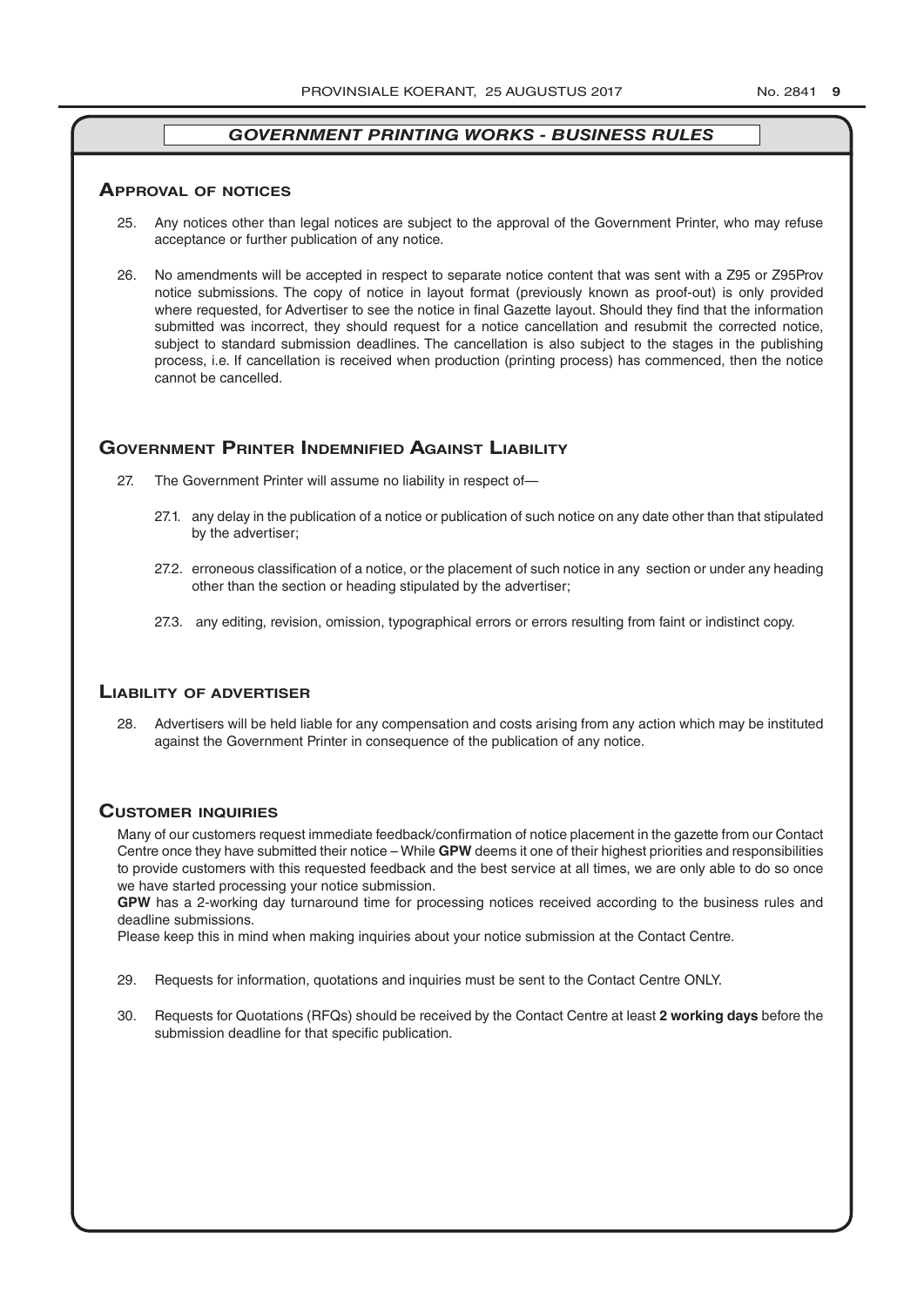#### **ApprovAl of noTiCes**

- 25. Any notices other than legal notices are subject to the approval of the Government Printer, who may refuse acceptance or further publication of any notice.
- 26. No amendments will be accepted in respect to separate notice content that was sent with a Z95 or Z95Prov notice submissions. The copy of notice in layout format (previously known as proof-out) is only provided where requested, for Advertiser to see the notice in final Gazette layout. Should they find that the information submitted was incorrect, they should request for a notice cancellation and resubmit the corrected notice, subject to standard submission deadlines. The cancellation is also subject to the stages in the publishing process, i.e. If cancellation is received when production (printing process) has commenced, then the notice cannot be cancelled.

# **governmenT prinTer indemnified AgAinsT liAbiliTy**

- 27. The Government Printer will assume no liability in respect of—
	- 27.1. any delay in the publication of a notice or publication of such notice on any date other than that stipulated by the advertiser;
	- 27.2. erroneous classification of a notice, or the placement of such notice in any section or under any heading other than the section or heading stipulated by the advertiser;
	- 27.3. any editing, revision, omission, typographical errors or errors resulting from faint or indistinct copy.

#### **liAbiliTy of AdverTiser**

28. Advertisers will be held liable for any compensation and costs arising from any action which may be instituted against the Government Printer in consequence of the publication of any notice.

### **CusTomer inQuiries**

Many of our customers request immediate feedback/confirmation of notice placement in the gazette from our Contact Centre once they have submitted their notice – While **GPW** deems it one of their highest priorities and responsibilities to provide customers with this requested feedback and the best service at all times, we are only able to do so once we have started processing your notice submission.

**GPW** has a 2-working day turnaround time for processing notices received according to the business rules and deadline submissions.

Please keep this in mind when making inquiries about your notice submission at the Contact Centre.

- 29. Requests for information, quotations and inquiries must be sent to the Contact Centre ONLY.
- 30. Requests for Quotations (RFQs) should be received by the Contact Centre at least **2 working days** before the submission deadline for that specific publication.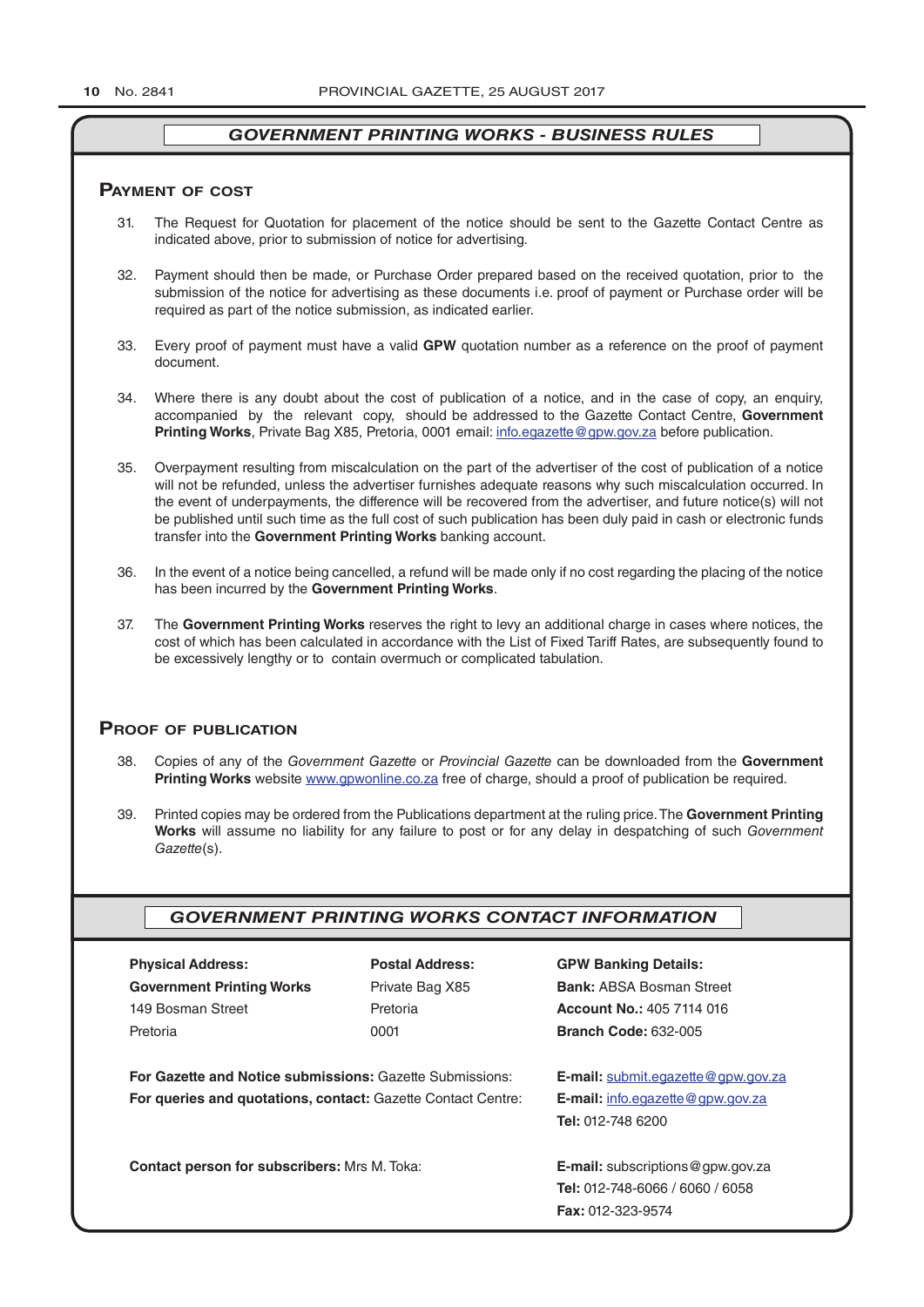#### **pAymenT of CosT**

- 31. The Request for Quotation for placement of the notice should be sent to the Gazette Contact Centre as indicated above, prior to submission of notice for advertising.
- 32. Payment should then be made, or Purchase Order prepared based on the received quotation, prior to the submission of the notice for advertising as these documents i.e. proof of payment or Purchase order will be required as part of the notice submission, as indicated earlier.
- 33. Every proof of payment must have a valid **GPW** quotation number as a reference on the proof of payment document.
- 34. Where there is any doubt about the cost of publication of a notice, and in the case of copy, an enquiry, accompanied by the relevant copy, should be addressed to the Gazette Contact Centre, **Government Printing Works**, Private Bag X85, Pretoria, 0001 email: info.egazette@gpw.gov.za before publication.
- 35. Overpayment resulting from miscalculation on the part of the advertiser of the cost of publication of a notice will not be refunded, unless the advertiser furnishes adequate reasons why such miscalculation occurred. In the event of underpayments, the difference will be recovered from the advertiser, and future notice(s) will not be published until such time as the full cost of such publication has been duly paid in cash or electronic funds transfer into the **Government Printing Works** banking account.
- 36. In the event of a notice being cancelled, a refund will be made only if no cost regarding the placing of the notice has been incurred by the **Government Printing Works**.
- 37. The **Government Printing Works** reserves the right to levy an additional charge in cases where notices, the cost of which has been calculated in accordance with the List of Fixed Tariff Rates, are subsequently found to be excessively lengthy or to contain overmuch or complicated tabulation.

### **proof of publiCATion**

- 38. Copies of any of the *Government Gazette* or *Provincial Gazette* can be downloaded from the **Government Printing Works** website www.gpwonline.co.za free of charge, should a proof of publication be required.
- 39. Printed copies may be ordered from the Publications department at the ruling price. The **Government Printing Works** will assume no liability for any failure to post or for any delay in despatching of such *Government Gazette*(s).

### *GOVERNMENT PRINTING WORKS CONTACT INFORMATION*

| <b>Physical Address:</b>                                            | <b>Postal Address:</b> | <b>GPW Banking Details:</b>                 |
|---------------------------------------------------------------------|------------------------|---------------------------------------------|
| <b>Government Printing Works</b>                                    | Private Bag X85        | <b>Bank: ABSA Bosman Street</b>             |
| 149 Bosman Street                                                   | Pretoria               | <b>Account No.: 405 7114 016</b>            |
| Pretoria                                                            | 0001                   | <b>Branch Code: 632-005</b>                 |
| For Gazette and Notice submissions: Gazette Submissions:            |                        | <b>E-mail:</b> submit.eqazette@gpw.gov.za   |
| <b>For queries and quotations, contact: Gazette Contact Centre:</b> |                        | <b>E-mail:</b> info.egazette@gpw.gov.za     |
|                                                                     |                        | <b>Tel: 012-748 6200</b>                    |
| <b>Contact person for subscribers: Mrs M. Toka:</b>                 |                        | <b>E-mail:</b> subscriptions $@$ gpw.gov.za |
|                                                                     |                        | <b>Tel: 012-748-6066 / 6060 / 6058</b>      |
|                                                                     |                        | <b>Fax: 012-323-9574</b>                    |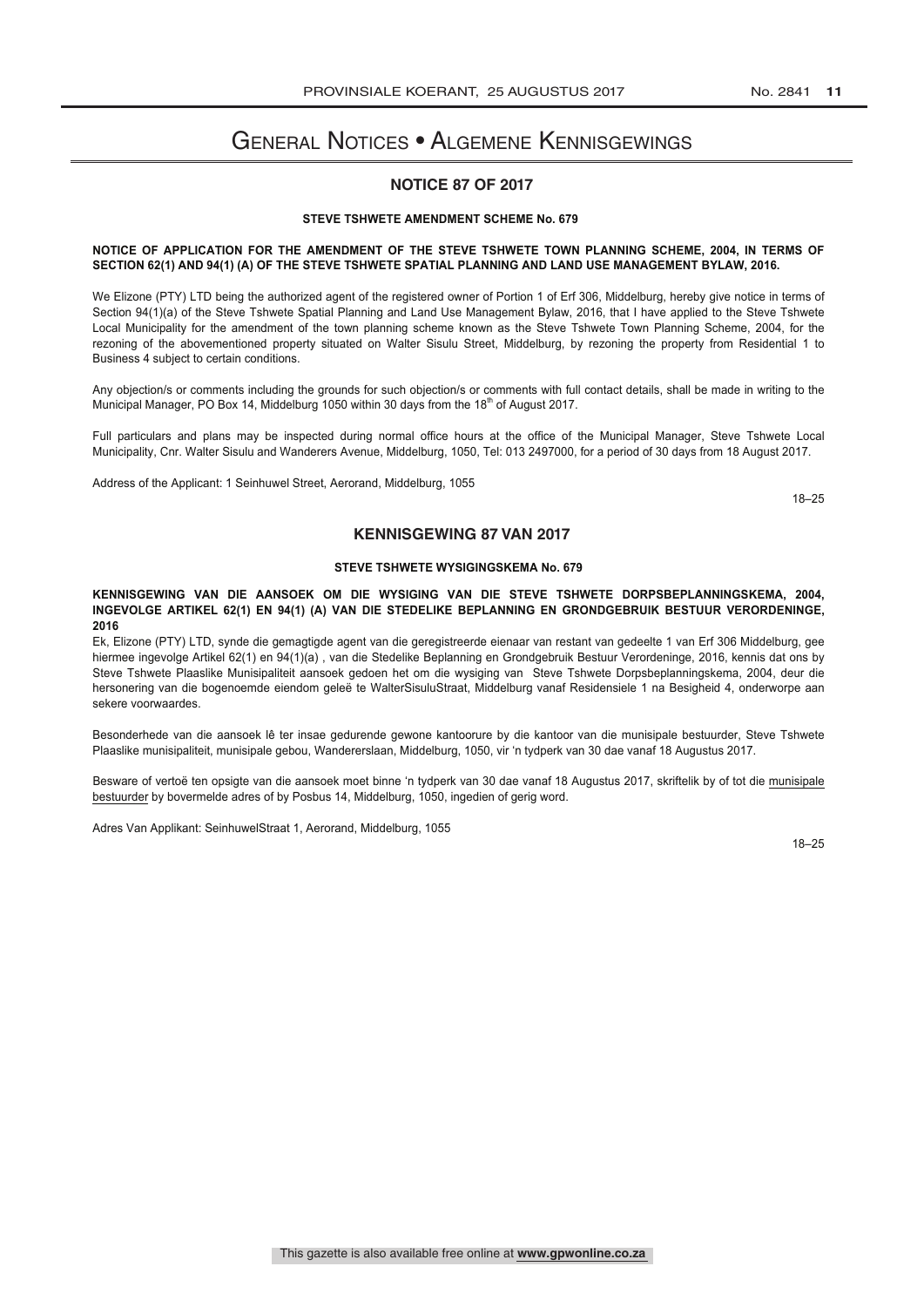# General Notices • Algemene Kennisgewings

### **NOTICE 87 OF 2017**

#### **STEVE TSHWETE AMENDMENT SCHEME No. 679**

#### **NOTICE OF APPLICATION FOR THE AMENDMENT OF THE STEVE TSHWETE TOWN PLANNING SCHEME, 2004, IN TERMS OF SECTION 62(1) AND 94(1) (A) OF THE STEVE TSHWETE SPATIAL PLANNING AND LAND USE MANAGEMENT BYLAW, 2016.**

We Elizone (PTY) LTD being the authorized agent of the registered owner of Portion 1 of Erf 306, Middelburg, hereby give notice in terms of Section 94(1)(a) of the Steve Tshwete Spatial Planning and Land Use Management Bylaw, 2016, that I have applied to the Steve Tshwete Local Municipality for the amendment of the town planning scheme known as the Steve Tshwete Town Planning Scheme, 2004, for the rezoning of the abovementioned property situated on Walter Sisulu Street, Middelburg, by rezoning the property from Residential 1 to Business 4 subject to certain conditions.

Any objection/s or comments including the grounds for such objection/s or comments with full contact details, shall be made in writing to the Municipal Manager, PO Box 14, Middelburg 1050 within 30 days from the 18<sup>th</sup> of August 2017.

Full particulars and plans may be inspected during normal office hours at the office of the Municipal Manager, Steve Tshwete Local Municipality, Cnr. Walter Sisulu and Wanderers Avenue, Middelburg, 1050, Tel: 013 2497000, for a period of 30 days from 18 August 2017.

Address of the Applicant: 1 Seinhuwel Street, Aerorand, Middelburg, 1055

18–25

#### **KENNISGEWING 87 VAN 2017**

#### **STEVE TSHWETE WYSIGINGSKEMA No. 679**

**KENNISGEWING VAN DIE AANSOEK OM DIE WYSIGING VAN DIE STEVE TSHWETE DORPSBEPLANNINGSKEMA, 2004, INGEVOLGE ARTIKEL 62(1) EN 94(1) (A) VAN DIE STEDELIKE BEPLANNING EN GRONDGEBRUIK BESTUUR VERORDENINGE, 2016**

Ek, Elizone (PTY) LTD, synde die gemagtigde agent van die geregistreerde eienaar van restant van gedeelte 1 van Erf 306 Middelburg, gee hiermee ingevolge Artikel 62(1) en 94(1)(a) , van die Stedelike Beplanning en Grondgebruik Bestuur Verordeninge, 2016, kennis dat ons by Steve Tshwete Plaaslike Munisipaliteit aansoek gedoen het om die wysiging van Steve Tshwete Dorpsbeplanningskema, 2004, deur die hersonering van die bogenoemde eiendom geleë te WalterSisuluStraat, Middelburg vanaf Residensiele 1 na Besigheid 4, onderworpe aan sekere voorwaardes.

Besonderhede van die aansoek lê ter insae gedurende gewone kantoorure by die kantoor van die munisipale bestuurder, Steve Tshwete Plaaslike munisipaliteit, munisipale gebou, Wandererslaan, Middelburg, 1050, vir 'n tydperk van 30 dae vanaf 18 Augustus 2017.

Besware of vertoë ten opsigte van die aansoek moet binne 'n tydperk van 30 dae vanaf 18 Augustus 2017, skriftelik by of tot die munisipale bestuurder by bovermelde adres of by Posbus 14, Middelburg, 1050, ingedien of gerig word.

Adres Van Applikant: SeinhuwelStraat 1, Aerorand, Middelburg, 1055

18–25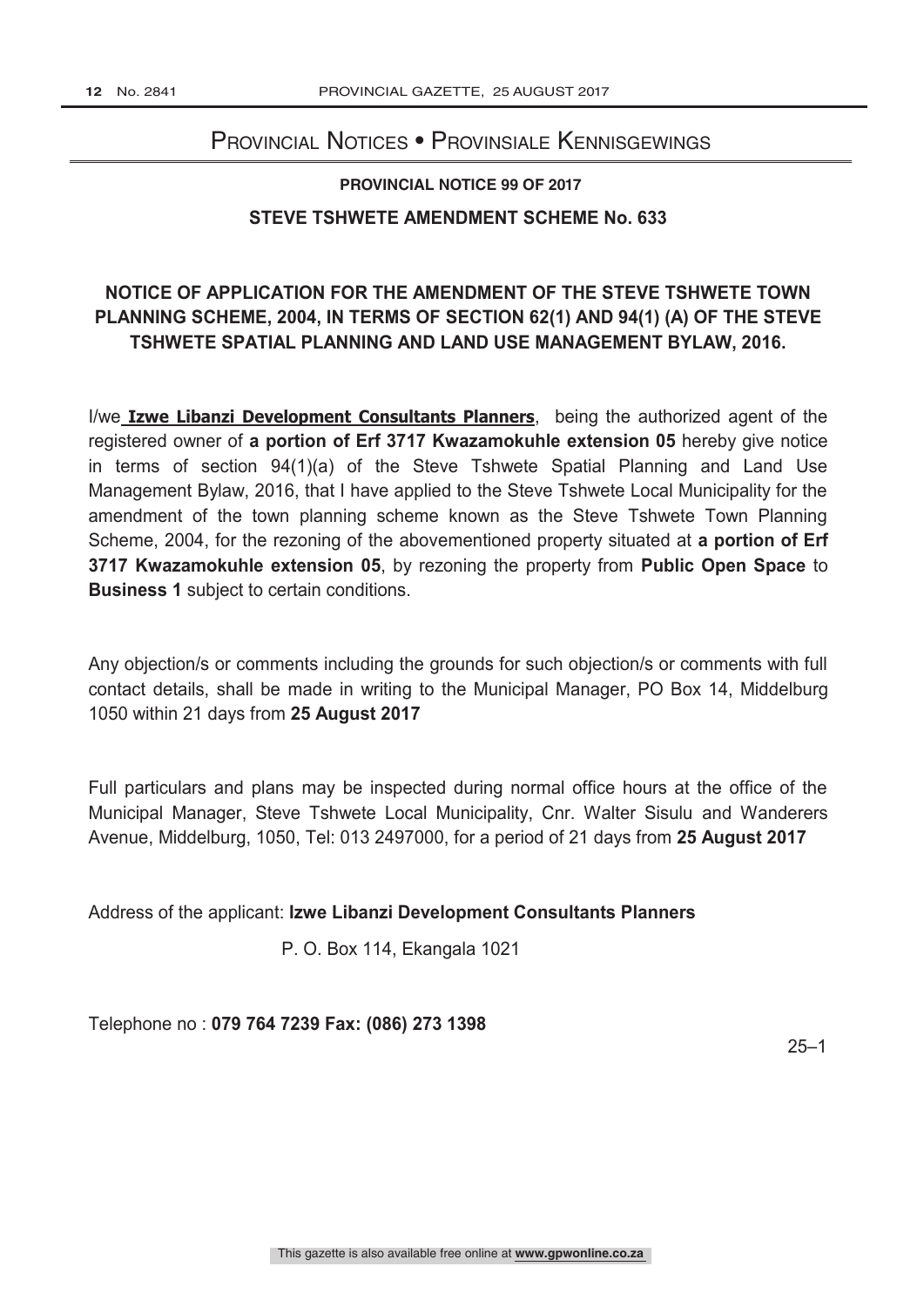# Provincial Notices • Provinsiale Kennisgewings

# **PROVINCIAL NOTICE 99 OF 2017**

# **STEVE TSHWETE AMENDMENT SCHEME No. 633**

# **NOTICE OF APPLICATION FOR THE AMENDMENT OF THE STEVE TSHWETE TOWN PLANNING SCHEME, 2004, IN TERMS OF SECTION 62(1) AND 94(1) (A) OF THE STEVE TSHWETE SPATIAL PLANNING AND LAND USE MANAGEMENT BYLAW, 2016.**

I/we **Izwe Libanzi Development Consultants Planners**, being the authorized agent of the registered owner of **a portion of Erf 3717 Kwazamokuhle extension 05** hereby give notice in terms of section 94(1)(a) of the Steve Tshwete Spatial Planning and Land Use Management Bylaw, 2016, that I have applied to the Steve Tshwete Local Municipality for the amendment of the town planning scheme known as the Steve Tshwete Town Planning Scheme, 2004, for the rezoning of the abovementioned property situated at **a portion of Erf 3717 Kwazamokuhle extension 05**, by rezoning the property from **Public Open Space** to **Business 1** subject to certain conditions.

Any objection/s or comments including the grounds for such objection/s or comments with full contact details, shall be made in writing to the Municipal Manager, PO Box 14, Middelburg 1050 within 21 days from **25 August 2017**

Full particulars and plans may be inspected during normal office hours at the office of the Municipal Manager, Steve Tshwete Local Municipality, Cnr. Walter Sisulu and Wanderers Avenue, Middelburg, 1050, Tel: 013 2497000, for a period of 21 days from **25 August 2017**

Address of the applicant: **Izwe Libanzi Development Consultants Planners** 

P. O. Box 114, Ekangala 1021

Telephone no : **079 764 7239 Fax: (086) 273 1398**

25–1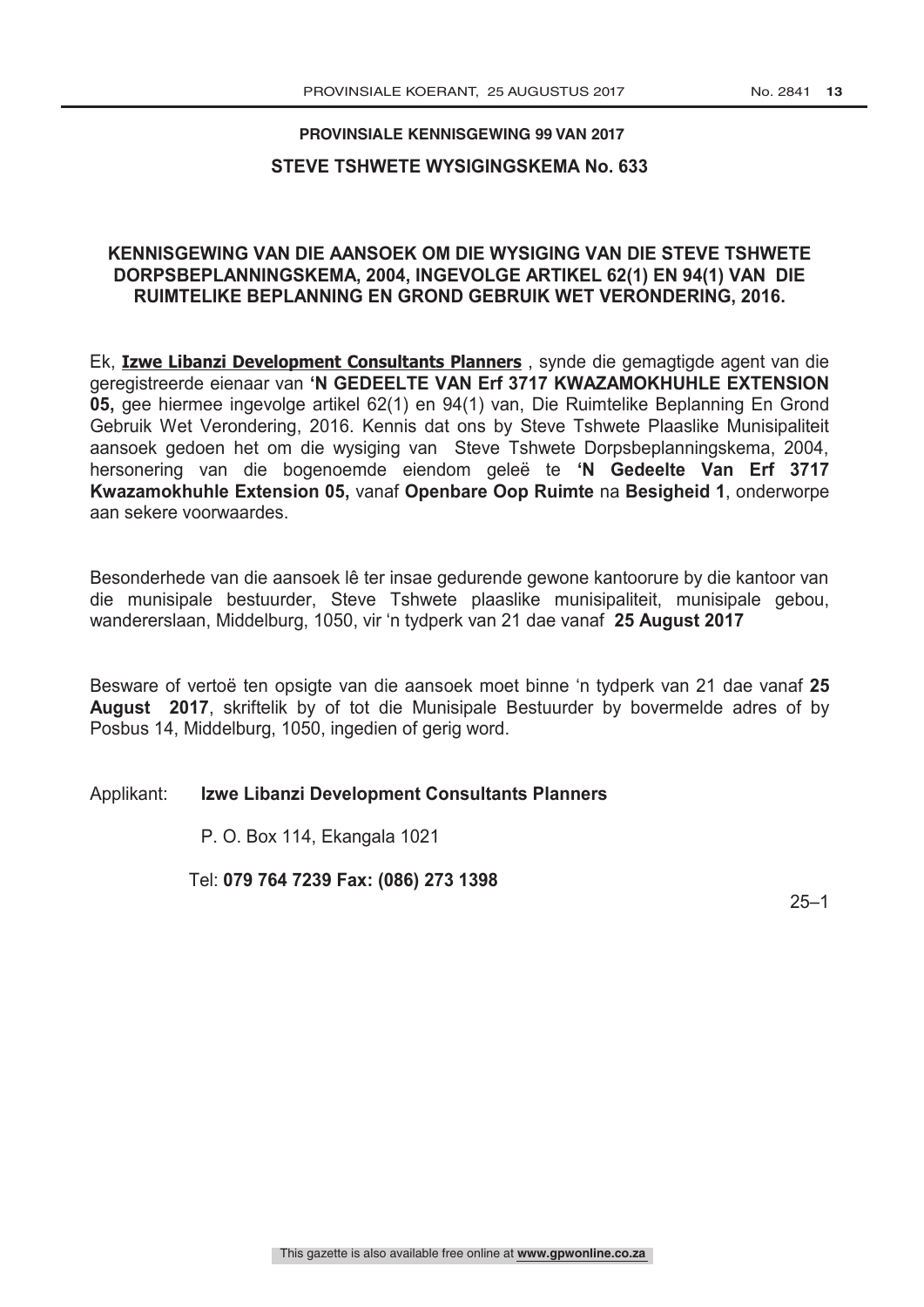# **PROVINSIALE KENNISGEWING 99 VAN 2017**

# **STEVE TSHWETE WYSIGINGSKEMA No. 633**

# **KENNISGEWING VAN DIE AANSOEK OM DIE WYSIGING VAN DIE STEVE TSHWETE DORPSBEPLANNINGSKEMA, 2004, INGEVOLGE ARTIKEL 62(1) EN 94(1) VAN DIE RUIMTELIKE BEPLANNING EN GROND GEBRUIK WET VERONDERING, 2016.**

Ek, **Izwe Libanzi Development Consultants Planners** , synde die gemagtigde agent van die geregistreerde eienaar van **'N GEDEELTE VAN Erf 3717 KWAZAMOKHUHLE EXTENSION 05,** gee hiermee ingevolge artikel 62(1) en 94(1) van, Die Ruimtelike Beplanning En Grond Gebruik Wet Verondering, 2016. Kennis dat ons by Steve Tshwete Plaaslike Munisipaliteit aansoek gedoen het om die wysiging van Steve Tshwete Dorpsbeplanningskema, 2004, hersonering van die bogenoemde eiendom geleë te **'N Gedeelte Van Erf 3717 Kwazamokhuhle Extension 05,** vanaf **Openbare Oop Ruimte** na **Besigheid 1**, onderworpe aan sekere voorwaardes.

Besonderhede van die aansoek lê ter insae gedurende gewone kantoorure by die kantoor van die munisipale bestuurder, Steve Tshwete plaaslike munisipaliteit, munisipale gebou, wandererslaan, Middelburg, 1050, vir 'n tydperk van 21 dae vanaf **25 August 2017**

Besware of vertoë ten opsigte van die aansoek moet binne 'n tydperk van 21 dae vanaf **25 August 2017**, skriftelik by of tot die Munisipale Bestuurder by bovermelde adres of by Posbus 14, Middelburg, 1050, ingedien of gerig word.

Applikant: **Izwe Libanzi Development Consultants Planners**

P. O. Box 114, Ekangala 1021

Tel: **079 764 7239 Fax: (086) 273 1398**

25–1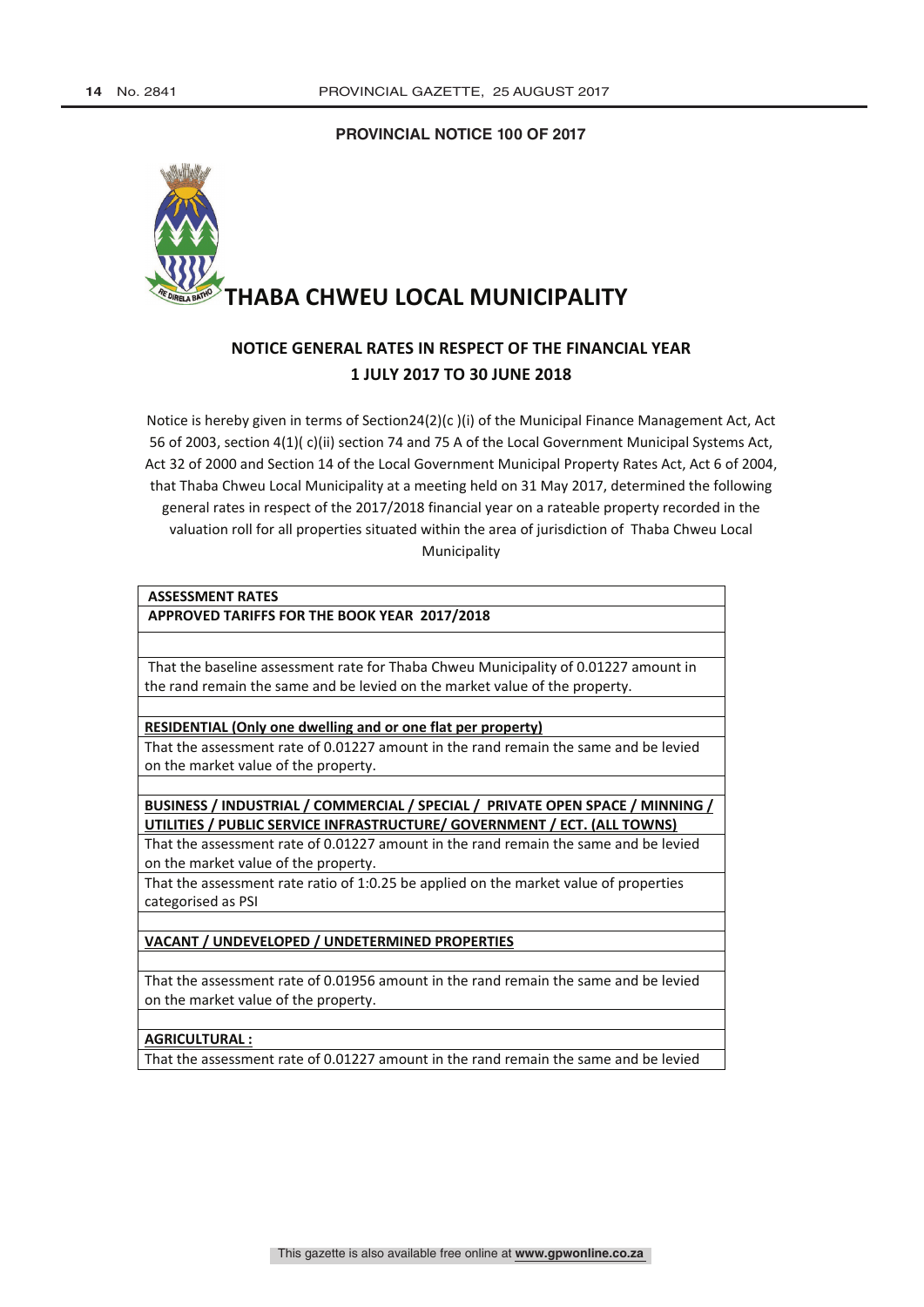**PROVINCIAL NOTICE 100 OF 2017** 



# **NOTICE GENERAL RATES IN RESPECT OF THE FINANCIAL YEAR 1 JULY 2017 TO 30 JUNE 2018**

Notice is hereby given in terms of Section24(2)(c)(i) of the Municipal Finance Management Act, Act 56 of 2003, section 4(1)( $c$ )(ii) section 74 and 75 A of the Local Government Municipal Systems Act, Act 32 of 2000 and Section 14 of the Local Government Municipal Property Rates Act, Act 6 of 2004, that Thaba Chweu Local Municipality at a meeting held on 31 May 2017, determined the following general rates in respect of the 2017/2018 financial year on a rateable property recorded in the valuation roll for all properties situated within the area of jurisdiction of Thaba Chweu Local Municipality

| <b>ASSESSMENT RATES</b>                                                               |
|---------------------------------------------------------------------------------------|
| APPROVED TARIFFS FOR THE BOOK YEAR 2017/2018                                          |
|                                                                                       |
| That the baseline assessment rate for Thaba Chweu Municipality of 0.01227 amount in   |
| the rand remain the same and be levied on the market value of the property.           |
|                                                                                       |
| <b>RESIDENTIAL (Only one dwelling and or one flat per property)</b>                   |
| That the assessment rate of 0.01227 amount in the rand remain the same and be levied  |
| on the market value of the property.                                                  |
|                                                                                       |
| BUSINESS / INDUSTRIAL / COMMERCIAL / SPECIAL / PRIVATE OPEN SPACE / MINNING /         |
| UTILITIES / PUBLIC SERVICE INFRASTRUCTURE/ GOVERNMENT / ECT. (ALL TOWNS)              |
| That the assessment rate of 0.01227 amount in the rand remain the same and be levied  |
| on the market value of the property.                                                  |
| That the assessment rate ratio of 1:0.25 be applied on the market value of properties |
| categorised as PSI                                                                    |
|                                                                                       |
| VACANT / UNDEVELOPED / UNDETERMINED PROPERTIES                                        |
|                                                                                       |
| That the assessment rate of 0.01956 amount in the rand remain the same and be levied  |
| on the market value of the property.                                                  |
|                                                                                       |
| <b>AGRICULTURAL:</b>                                                                  |
| That the assessment rate of 0.01227 amount in the rand remain the same and be levied  |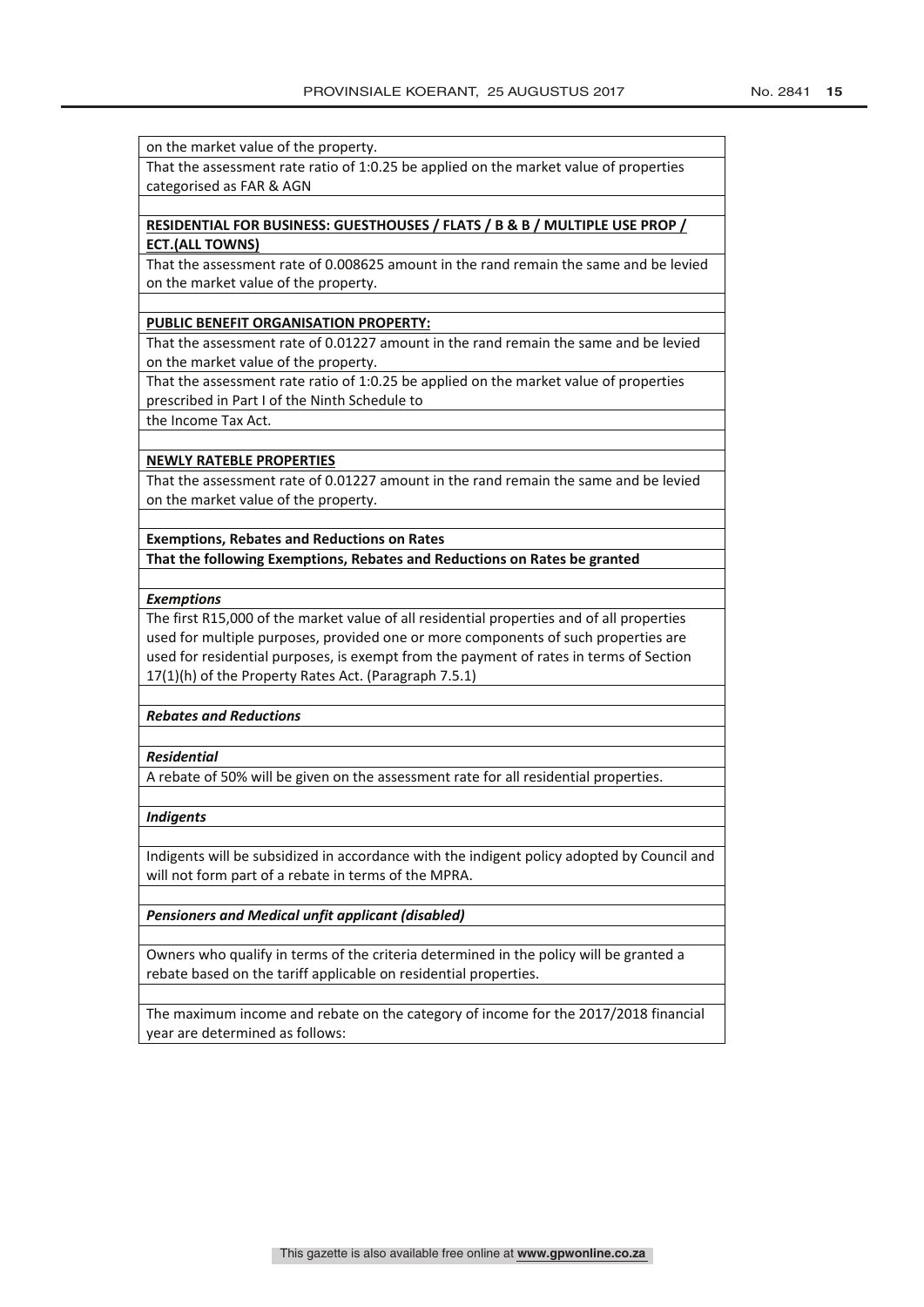on the market value of the property. That the assessment rate ratio of 1:0.25 be applied on the market value of properties categorised as FAR & AGN **RESIDENTIAL FOR BUSINESS: GUESTHOUSES / FLATS / B & B / MULTIPLE USE PROP / ECT.(ALL TOWNS)** That the assessment rate of 0.008625 amount in the rand remain the same and be levied on the market value of the property.

#### **PUBLIC BENEFIT ORGANISATION PROPERTY:**

That the assessment rate of 0.01227 amount in the rand remain the same and be levied on the market value of the property.

That the assessment rate ratio of 1:0.25 be applied on the market value of properties prescribed in Part I of the Ninth Schedule to

the Income Tax Act.

#### **NEWLY RATEBLE PROPERTIES**

That the assessment rate of 0.01227 amount in the rand remain the same and be levied on the market value of the property.

#### **Exemptions, Rebates and Reductions on Rates**

That the following Exemptions, Rebates and Reductions on Rates be granted

#### *Exemptions*

The first R15,000 of the market value of all residential properties and of all properties used for multiple purposes, provided one or more components of such properties are used for residential purposes, is exempt from the payment of rates in terms of Section 17(1)(h) of the Property Rates Act. (Paragraph 7.5.1)

#### *Rebates and Reductions*

#### *Residential*

A rebate of 50% will be given on the assessment rate for all residential properties.

#### *Indigents*

Indigents will be subsidized in accordance with the indigent policy adopted by Council and will not form part of a rebate in terms of the MPRA.

**Pensioners and Medical unfit applicant (disabled)** 

Owners who qualify in terms of the criteria determined in the policy will be granted a rebate based on the tariff applicable on residential properties.

The maximum income and rebate on the category of income for the 2017/2018 financial year are determined as follows: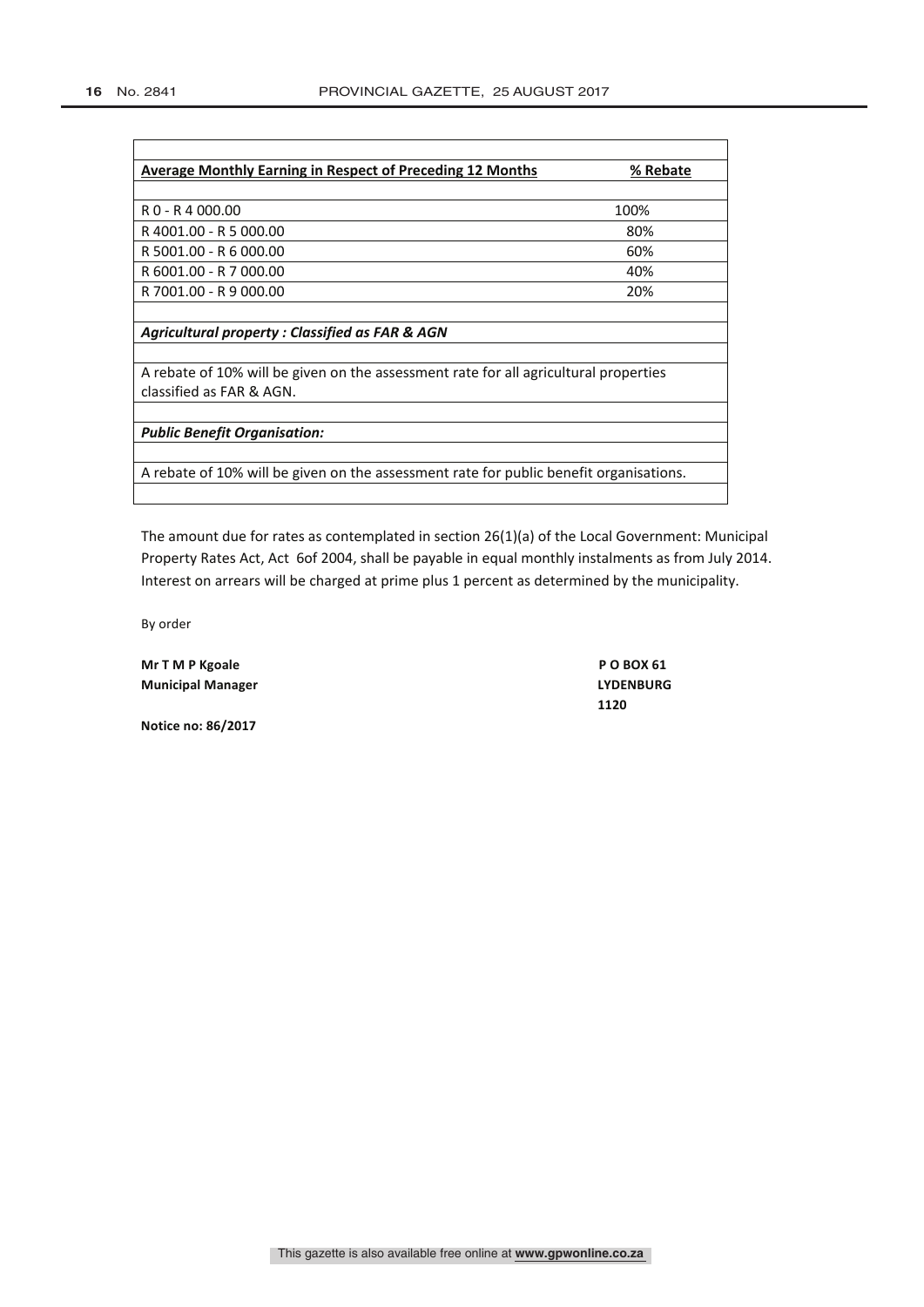| Average Monthly Earning in Respect of Preceding 12 Months                            | % Rebate |
|--------------------------------------------------------------------------------------|----------|
|                                                                                      |          |
| R 0 - R 4 000.00                                                                     | 100%     |
| R 4001.00 - R 5 000.00                                                               | 80%      |
| R 5001.00 - R 6 000.00                                                               | 60%      |
| R 6001.00 - R 7 000.00                                                               | 40%      |
| R 7001.00 - R 9 000.00                                                               | 20%      |
|                                                                                      |          |
|                                                                                      |          |
| <b>Agricultural property: Classified as FAR &amp; AGN</b>                            |          |
|                                                                                      |          |
| A rebate of 10% will be given on the assessment rate for all agricultural properties |          |
| classified as FAR & AGN.                                                             |          |
|                                                                                      |          |
| <b>Public Benefit Organisation:</b>                                                  |          |
|                                                                                      |          |

The amount due for rates as contemplated in section  $26(1)(a)$  of the Local Government: Municipal Property Rates Act, Act 6of 2004, shall be payable in equal monthly instalments as from July 2014. Interest on arrears will be charged at prime plus 1 percent as determined by the municipality.

By order

**Mr T M P Kgoale P O BOX 61 Municipal Manager LYDENBURG**

**1120** 

**Notice no: 86/2017**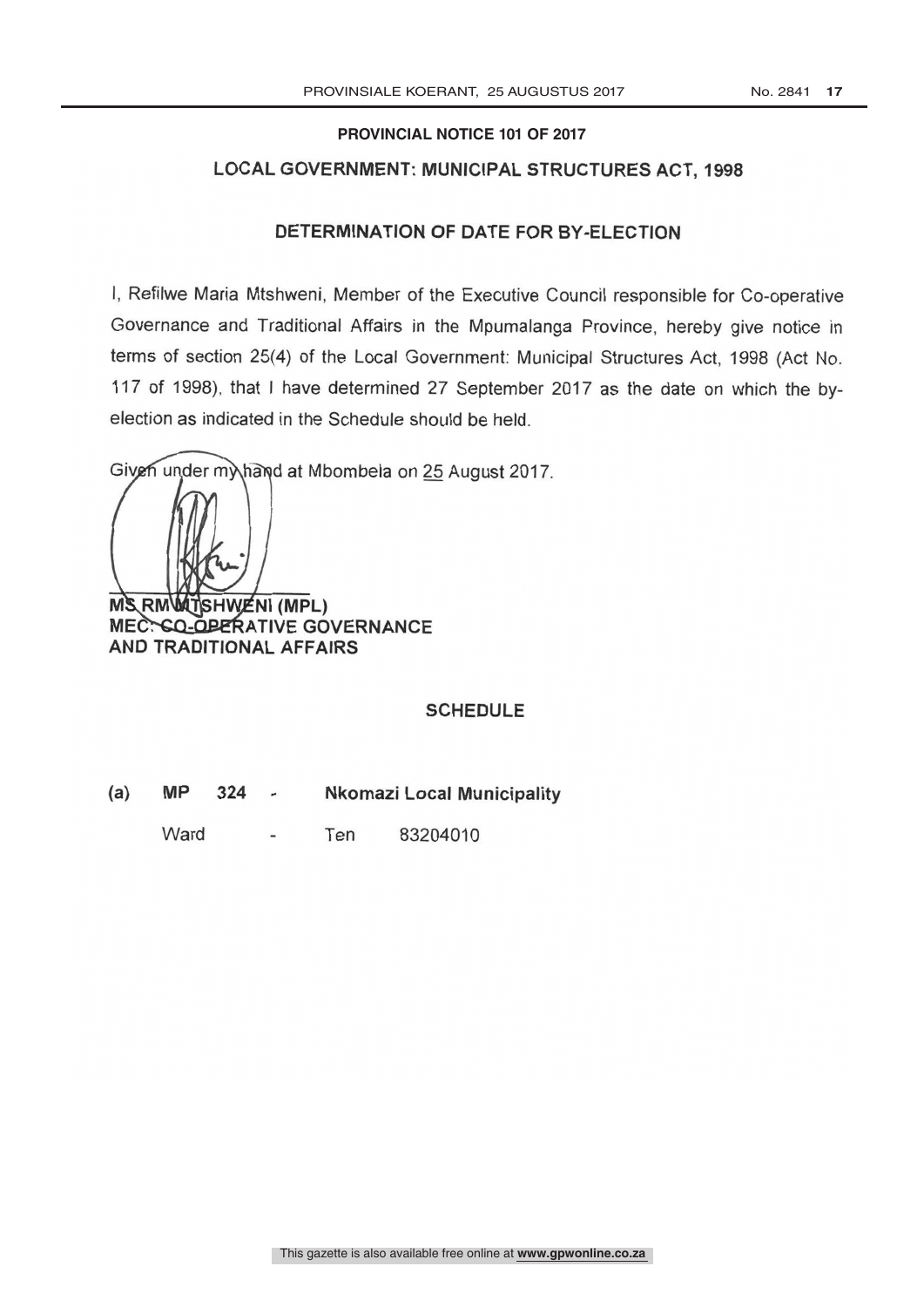# **PROVINCIAL NOTICE 101 OF 2017**

# LOCAL GOVERNMENT: MUNICIPAL STRUCTURES ACT, 1998

# DETERMINATION OF DATE FOR BY-ELECTION

I, Refilwe Maria Mtshweni, Member of the Executive Council responsible for Co-operative Governance and Traditional Affairs in the Mpumalanga Province, hereby give notice in terms of section 25(4) of the Local Government: Municipal Structures Act, 1998 (Act No. 117 of 1998), that <sup>I</sup> have determined 27 September 2017 as the date on which the byelection as indicated in the Schedule should be held.

Given under my hand at Mbombela on 25 August 2017.

**MS RMWTSHWENI (MPL)** MEC. CO-OPERATIVE GOVERNANCE AND TRADITIONAL AFFAIRS

# **SCHEDULE**

(a) MP 324 - Nkomazi Local Municipality

Ward - Ten 83204010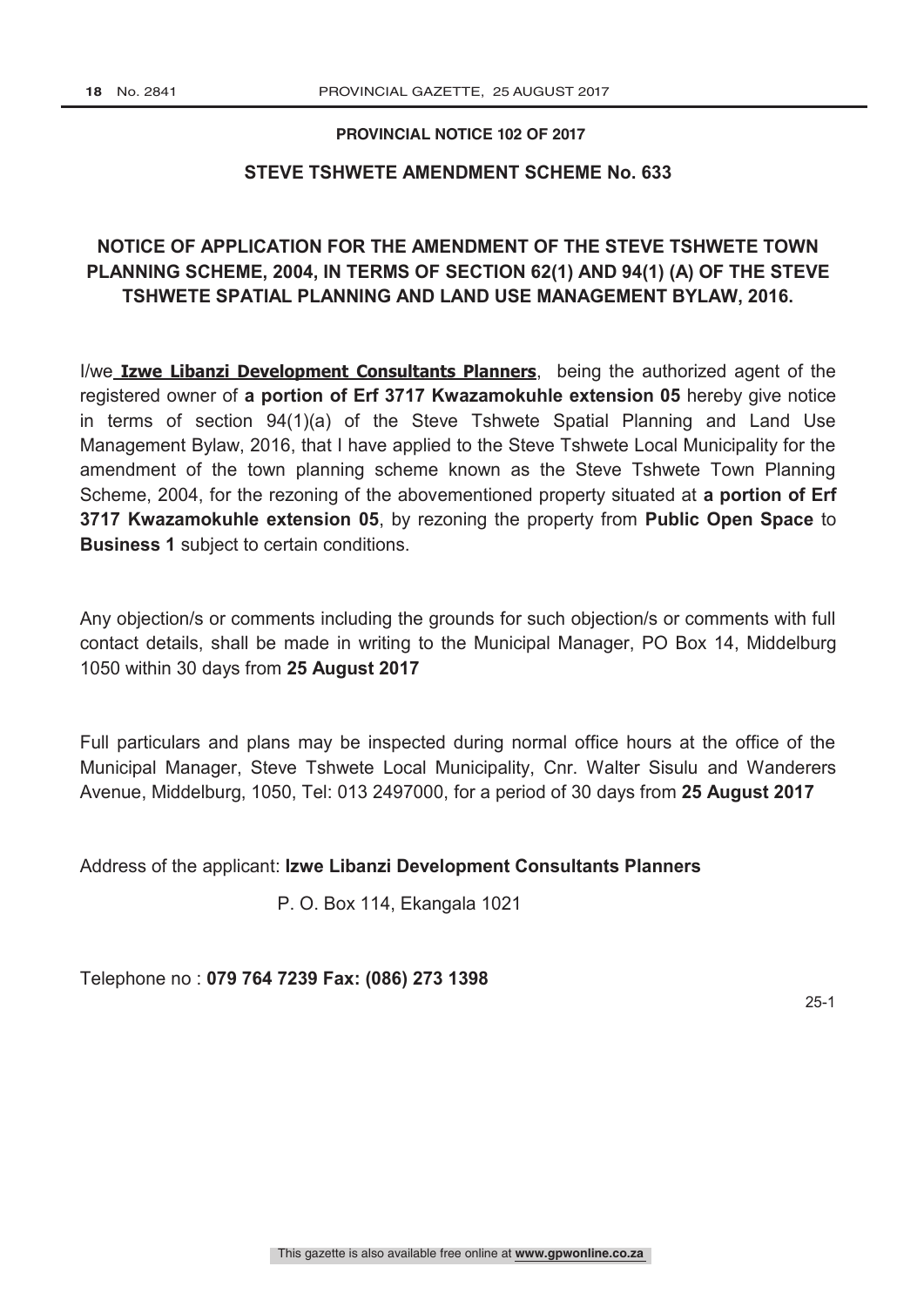# **PROVINCIAL NOTICE 102 OF 2017**

# **STEVE TSHWETE AMENDMENT SCHEME No. 633**

# **NOTICE OF APPLICATION FOR THE AMENDMENT OF THE STEVE TSHWETE TOWN PLANNING SCHEME, 2004, IN TERMS OF SECTION 62(1) AND 94(1) (A) OF THE STEVE TSHWETE SPATIAL PLANNING AND LAND USE MANAGEMENT BYLAW, 2016.**

I/we **Izwe Libanzi Development Consultants Planners**, being the authorized agent of the registered owner of **a portion of Erf 3717 Kwazamokuhle extension 05** hereby give notice in terms of section 94(1)(a) of the Steve Tshwete Spatial Planning and Land Use Management Bylaw, 2016, that I have applied to the Steve Tshwete Local Municipality for the amendment of the town planning scheme known as the Steve Tshwete Town Planning Scheme, 2004, for the rezoning of the abovementioned property situated at **a portion of Erf 3717 Kwazamokuhle extension 05**, by rezoning the property from **Public Open Space** to **Business 1** subject to certain conditions.

Any objection/s or comments including the grounds for such objection/s or comments with full contact details, shall be made in writing to the Municipal Manager, PO Box 14, Middelburg 1050 within 30 days from **25 August 2017**

Full particulars and plans may be inspected during normal office hours at the office of the Municipal Manager, Steve Tshwete Local Municipality, Cnr. Walter Sisulu and Wanderers Avenue, Middelburg, 1050, Tel: 013 2497000, for a period of 30 days from **25 August 2017**

Address of the applicant: **Izwe Libanzi Development Consultants Planners** 

P. O. Box 114, Ekangala 1021

Telephone no : **079 764 7239 Fax: (086) 273 1398**

25-1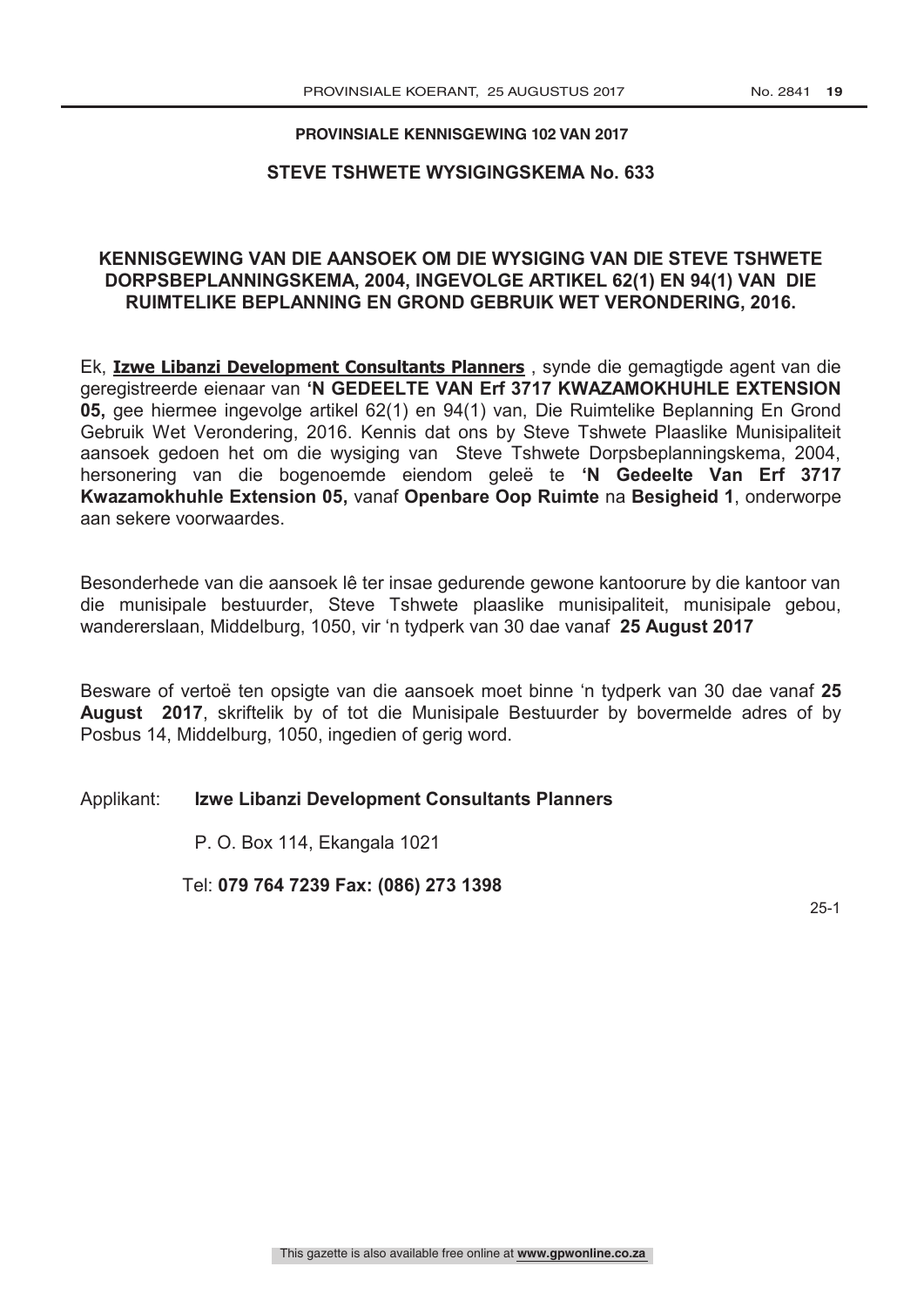# **PROVINSIALE KENNISGEWING 102 VAN 2017**

# **STEVE TSHWETE WYSIGINGSKEMA No. 633**

# **KENNISGEWING VAN DIE AANSOEK OM DIE WYSIGING VAN DIE STEVE TSHWETE DORPSBEPLANNINGSKEMA, 2004, INGEVOLGE ARTIKEL 62(1) EN 94(1) VAN DIE RUIMTELIKE BEPLANNING EN GROND GEBRUIK WET VERONDERING, 2016.**

Ek, **Izwe Libanzi Development Consultants Planners** , synde die gemagtigde agent van die geregistreerde eienaar van **'N GEDEELTE VAN Erf 3717 KWAZAMOKHUHLE EXTENSION 05,** gee hiermee ingevolge artikel 62(1) en 94(1) van, Die Ruimtelike Beplanning En Grond Gebruik Wet Verondering, 2016. Kennis dat ons by Steve Tshwete Plaaslike Munisipaliteit aansoek gedoen het om die wysiging van Steve Tshwete Dorpsbeplanningskema, 2004, hersonering van die bogenoemde eiendom geleë te **'N Gedeelte Van Erf 3717 Kwazamokhuhle Extension 05,** vanaf **Openbare Oop Ruimte** na **Besigheid 1**, onderworpe aan sekere voorwaardes.

Besonderhede van die aansoek lê ter insae gedurende gewone kantoorure by die kantoor van die munisipale bestuurder, Steve Tshwete plaaslike munisipaliteit, munisipale gebou, wandererslaan, Middelburg, 1050, vir 'n tydperk van 30 dae vanaf **25 August 2017**

Besware of vertoë ten opsigte van die aansoek moet binne 'n tydperk van 30 dae vanaf **25 August 2017**, skriftelik by of tot die Munisipale Bestuurder by bovermelde adres of by Posbus 14, Middelburg, 1050, ingedien of gerig word.

# Applikant: **Izwe Libanzi Development Consultants Planners**

P. O. Box 114, Ekangala 1021

Tel: **079 764 7239 Fax: (086) 273 1398** 

25-1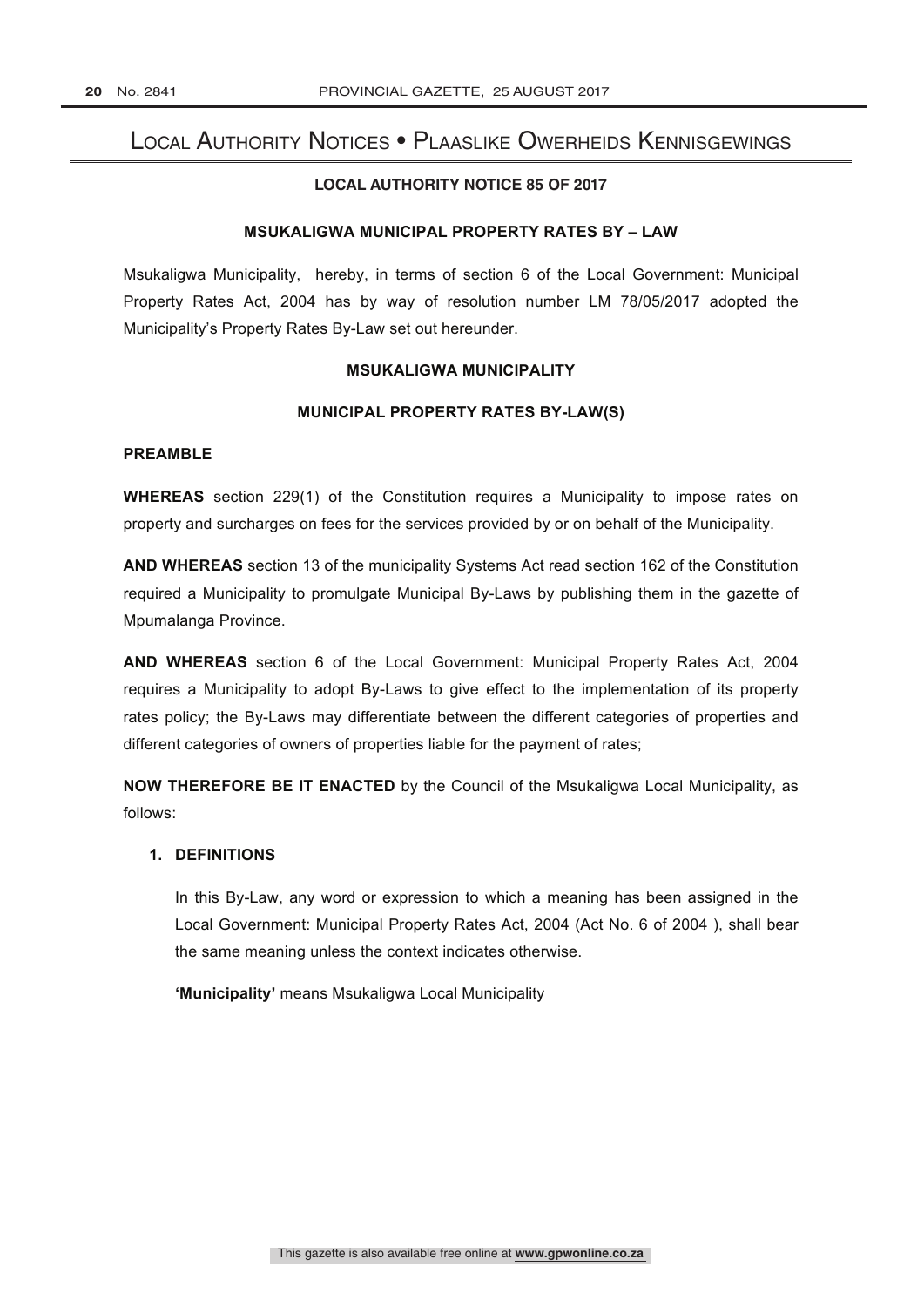# Local Authority Notices • Plaaslike Owerheids Kennisgewings

# **LOCAL AUTHORITY NOTICE 85 OF 2017**

# **MSUKALIGWA MUNICIPAL PROPERTY RATES BY – LAW**

Msukaligwa Municipality, hereby, in terms of section 6 of the Local Government: Municipal Property Rates Act, 2004 has by way of resolution number LM 78/05/2017 adopted the Municipality's Property Rates By-Law set out hereunder.

# **MSUKALIGWA MUNICIPALITY**

#### **MUNICIPAL PROPERTY RATES BY-LAW(S)**

# **PREAMBLE**

**WHEREAS** section 229(1) of the Constitution requires a Municipality to impose rates on property and surcharges on fees for the services provided by or on behalf of the Municipality.

**AND WHEREAS** section 13 of the municipality Systems Act read section 162 of the Constitution required a Municipality to promulgate Municipal By-Laws by publishing them in the gazette of Mpumalanga Province.

**AND WHEREAS** section 6 of the Local Government: Municipal Property Rates Act, 2004 requires a Municipality to adopt By-Laws to give effect to the implementation of its property rates policy; the By-Laws may differentiate between the different categories of properties and different categories of owners of properties liable for the payment of rates;

**NOW THEREFORE BE IT ENACTED** by the Council of the Msukaligwa Local Municipality, as follows:

#### **1. DEFINITIONS**

In this By-Law, any word or expression to which a meaning has been assigned in the Local Government: Municipal Property Rates Act, 2004 (Act No. 6 of 2004 ), shall bear the same meaning unless the context indicates otherwise.

**'Municipality'** means Msukaligwa Local Municipality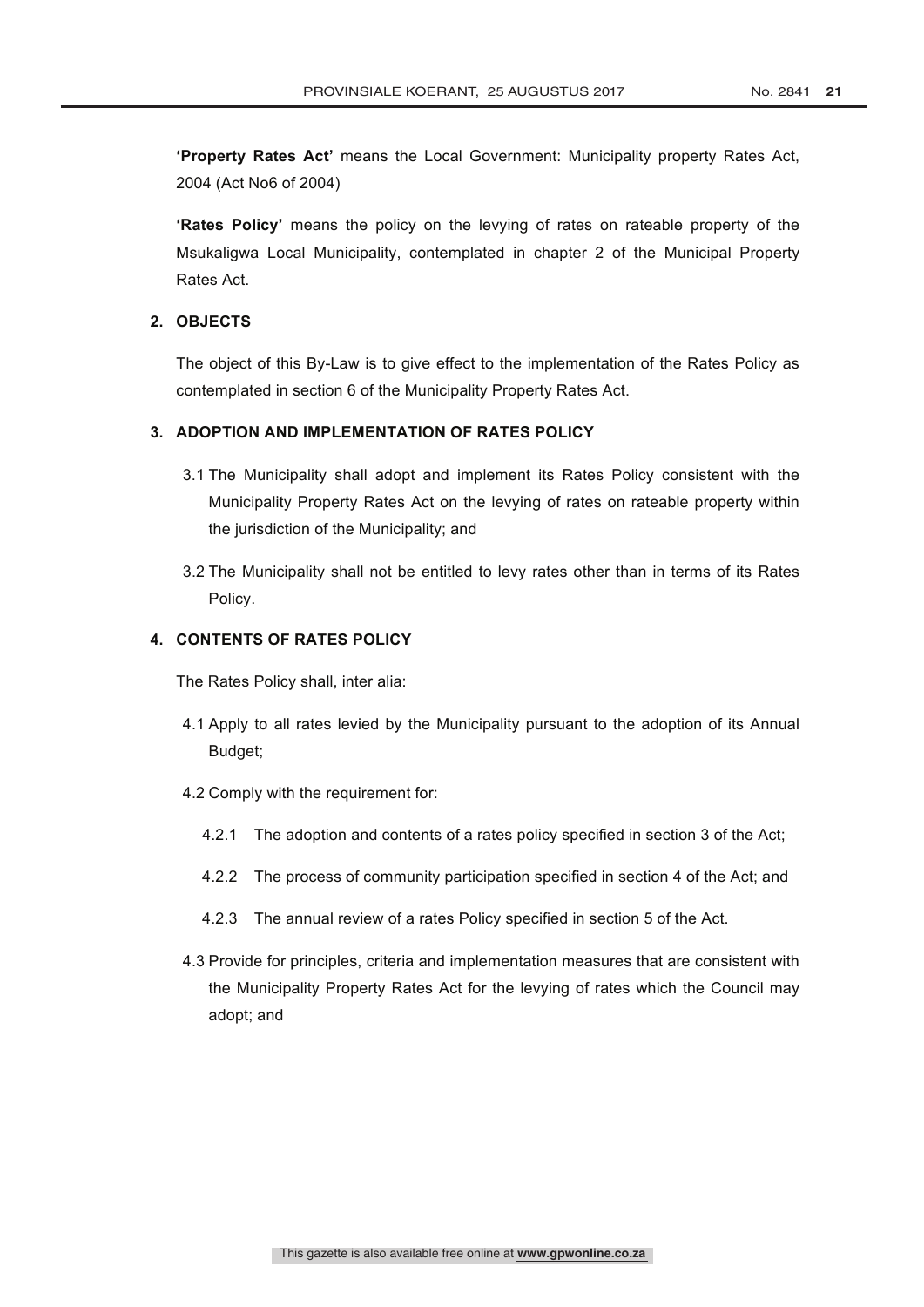**'Property Rates Act'** means the Local Government: Municipality property Rates Act, 2004 (Act No6 of 2004)

**'Rates Policy'** means the policy on the levying of rates on rateable property of the Msukaligwa Local Municipality, contemplated in chapter 2 of the Municipal Property Rates Act.

# **2. OBJECTS**

The object of this By-Law is to give effect to the implementation of the Rates Policy as contemplated in section 6 of the Municipality Property Rates Act.

# **3. ADOPTION AND IMPLEMENTATION OF RATES POLICY**

- 3.1 The Municipality shall adopt and implement its Rates Policy consistent with the Municipality Property Rates Act on the levying of rates on rateable property within the jurisdiction of the Municipality; and
- 3.2 The Municipality shall not be entitled to levy rates other than in terms of its Rates Policy.

# **4. CONTENTS OF RATES POLICY**

The Rates Policy shall, inter alia:

- 4.1 Apply to all rates levied by the Municipality pursuant to the adoption of its Annual Budget;
- 4.2 Comply with the requirement for:
	- 4.2.1 The adoption and contents of a rates policy specified in section 3 of the Act;
	- 4.2.2 The process of community participation specified in section 4 of the Act; and
	- 4.2.3 The annual review of a rates Policy specified in section 5 of the Act.
- 4.3 Provide for principles, criteria and implementation measures that are consistent with the Municipality Property Rates Act for the levying of rates which the Council may adopt; and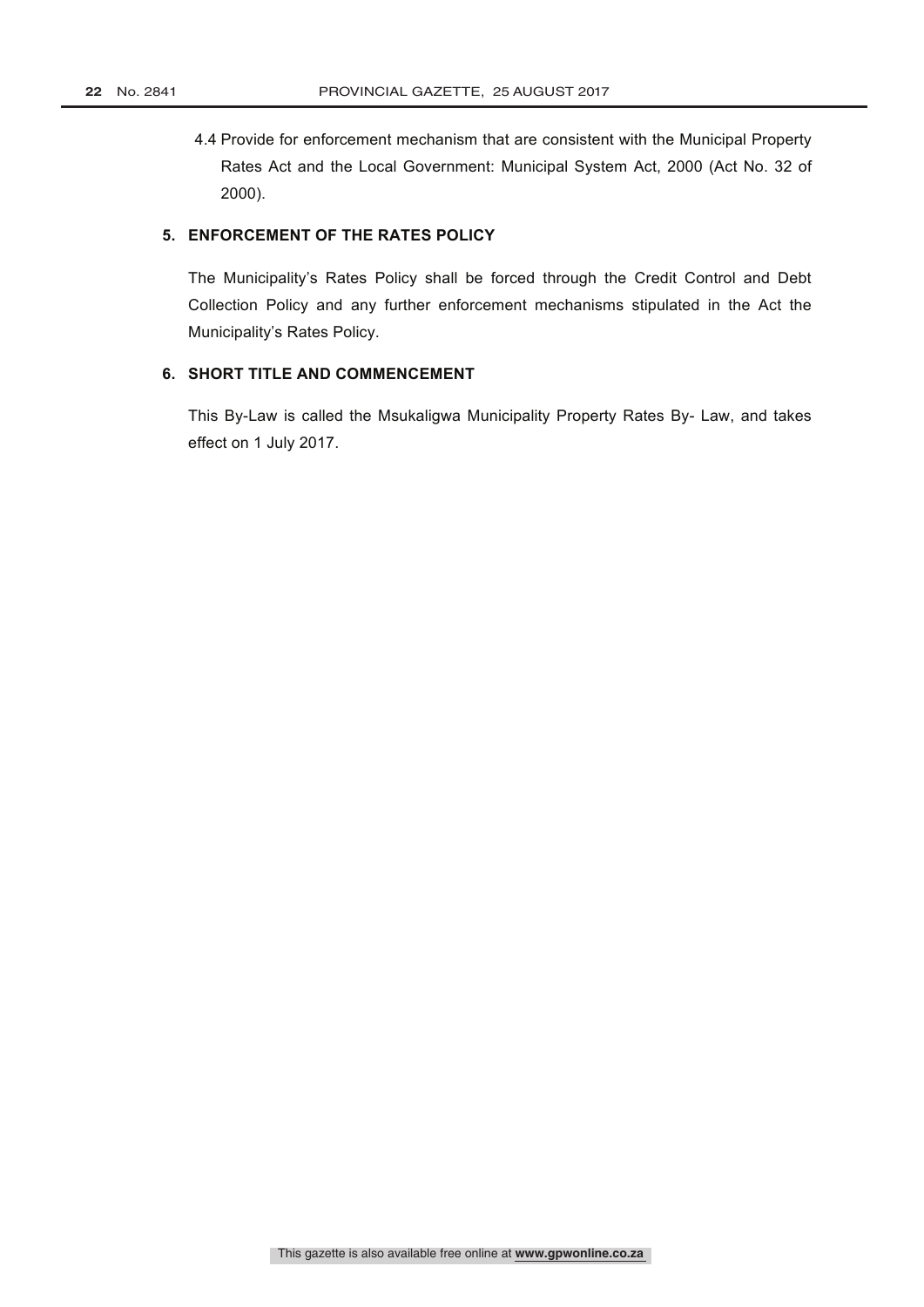4.4 Provide for enforcement mechanism that are consistent with the Municipal Property Rates Act and the Local Government: Municipal System Act, 2000 (Act No. 32 of 2000).

# **5. ENFORCEMENT OF THE RATES POLICY**

The Municipality's Rates Policy shall be forced through the Credit Control and Debt Collection Policy and any further enforcement mechanisms stipulated in the Act the Municipality's Rates Policy.

# **6. SHORT TITLE AND COMMENCEMENT**

This By-Law is called the Msukaligwa Municipality Property Rates By- Law, and takes effect on 1 July 2017.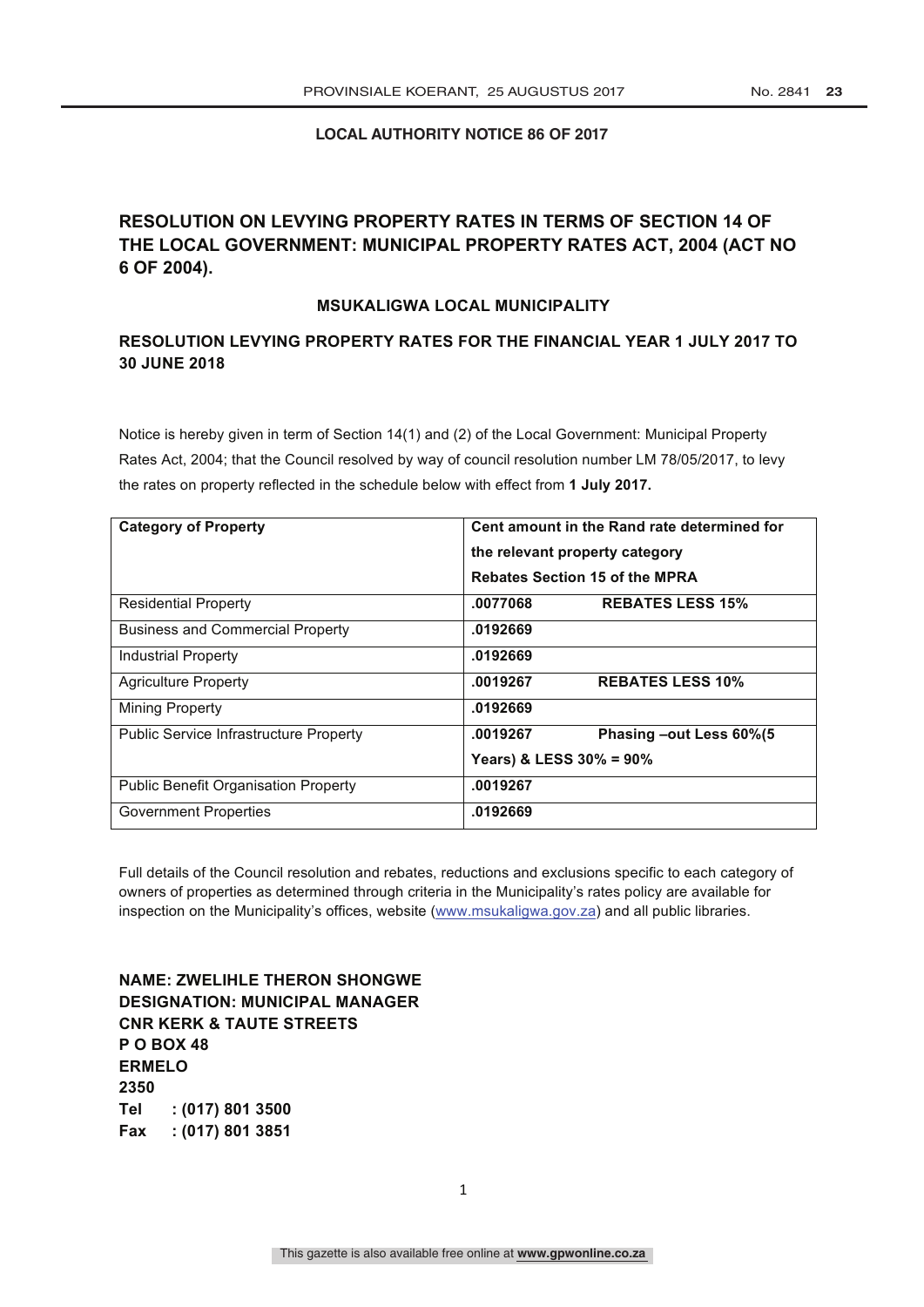# **LOCAL AUTHORITY NOTICE 86 OF 2017**

# **RESOLUTION ON LEVYING PROPERTY RATES IN TERMS OF SECTION 14 OF THE LOCAL GOVERNMENT: MUNICIPAL PROPERTY RATES ACT, 2004 (ACT NO 6 OF 2004).**

### **MSUKALIGWA LOCAL MUNICIPALITY**

# **RESOLUTION LEVYING PROPERTY RATES FOR THE FINANCIAL YEAR 1 JULY 2017 TO 30 JUNE 2018**

Notice is hereby given in term of Section 14(1) and (2) of the Local Government: Municipal Property Rates Act, 2004; that the Council resolved by way of council resolution number LM 78/05/2017, to levy the rates on property reflected in the schedule below with effect from **1 July 2017.** 

| <b>Category of Property</b>                   | Cent amount in the Rand rate determined for |
|-----------------------------------------------|---------------------------------------------|
|                                               | the relevant property category              |
|                                               | <b>Rebates Section 15 of the MPRA</b>       |
| <b>Residential Property</b>                   | .0077068<br><b>REBATES LESS 15%</b>         |
| <b>Business and Commercial Property</b>       | .0192669                                    |
| <b>Industrial Property</b>                    | .0192669                                    |
| <b>Agriculture Property</b>                   | <b>REBATES LESS 10%</b><br>.0019267         |
| Mining Property                               | .0192669                                    |
| <b>Public Service Infrastructure Property</b> | .0019267<br>Phasing -out Less 60%(5         |
|                                               | Years) & LESS 30% = 90%                     |
| <b>Public Benefit Organisation Property</b>   | .0019267                                    |
| <b>Government Properties</b>                  | .0192669                                    |

Full details of the Council resolution and rebates, reductions and exclusions specific to each category of owners of properties as determined through criteria in the Municipality's rates policy are available for inspection on the Municipality's offices, website (www.msukaligwa.gov.za) and all public libraries.

**NAME: ZWELIHLE THERON SHONGWE DESIGNATION: MUNICIPAL MANAGER CNR KERK & TAUTE STREETS P O BOX 48 ERMELO 2350 Tel : (017) 801 3500 Fax : (017) 801 3851**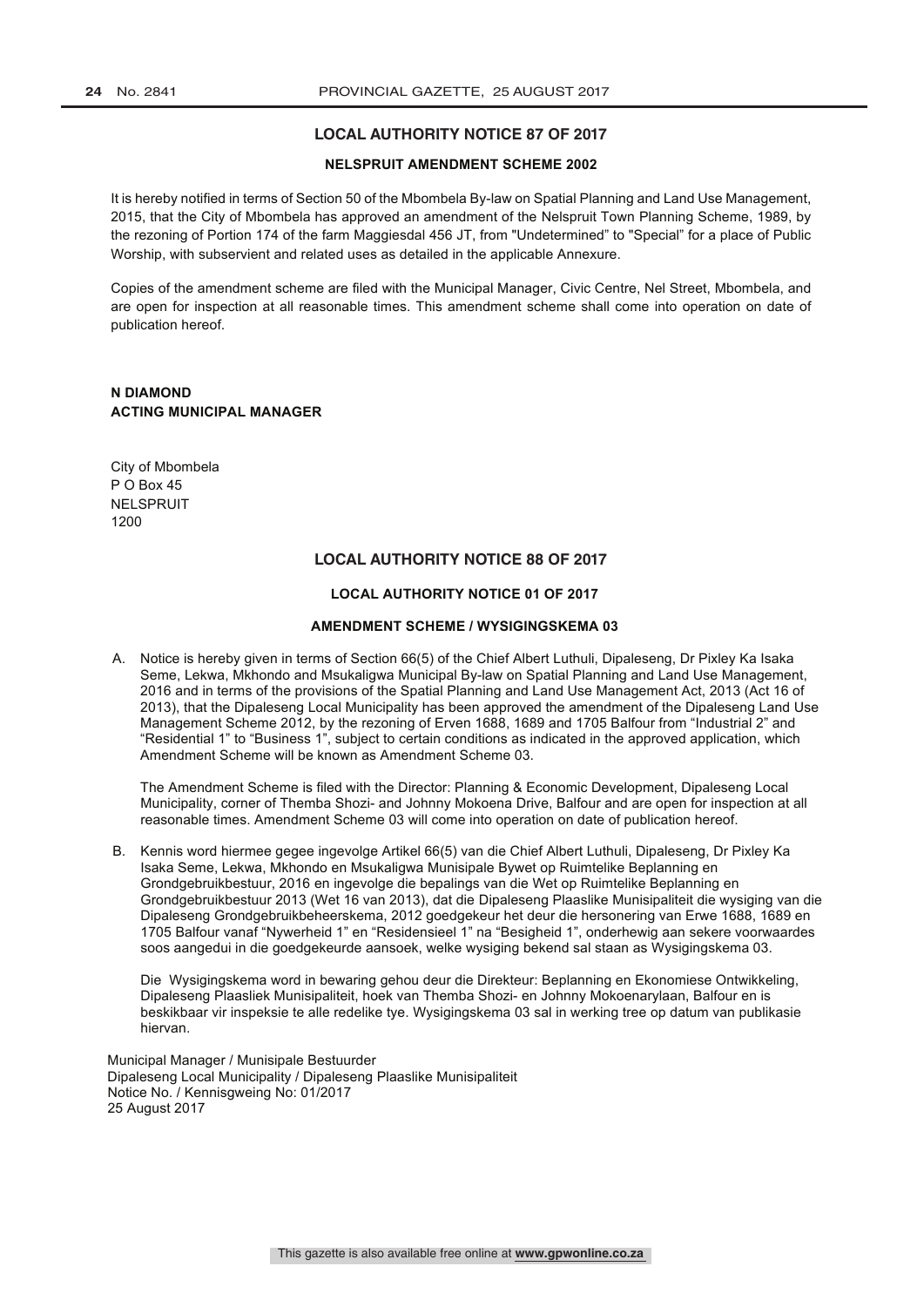#### **LOCAL AUTHORITY NOTICE 87 OF 2017**

#### **NELSPRUIT AMENDMENT SCHEME 2002**

It is hereby notified in terms of Section 50 of the Mbombela By-law on Spatial Planning and Land Use Management, 2015, that the City of Mbombela has approved an amendment of the Nelspruit Town Planning Scheme, 1989, by the rezoning of Portion 174 of the farm Maggiesdal 456 JT, from "Undetermined" to "Special" for a place of Public Worship, with subservient and related uses as detailed in the applicable Annexure.

Copies of the amendment scheme are filed with the Municipal Manager, Civic Centre, Nel Street, Mbombela, and are open for inspection at all reasonable times. This amendment scheme shall come into operation on date of publication hereof.

**N DIAMOND ACTING MUNICIPAL MANAGER**

City of Mbombela P O Box 45 NELSPRUIT 1200

#### **LOCAL AUTHORITY NOTICE 88 OF 2017**

#### **LOCAL AUTHORITY NOTICE 01 OF 2017**

#### **AMENDMENT SCHEME / WYSIGINGSKEMA 03**

A. Notice is hereby given in terms of Section 66(5) of the Chief Albert Luthuli, Dipaleseng, Dr Pixley Ka Isaka Seme, Lekwa, Mkhondo and Msukaligwa Municipal By-law on Spatial Planning and Land Use Management, 2016 and in terms of the provisions of the Spatial Planning and Land Use Management Act, 2013 (Act 16 of 2013), that the Dipaleseng Local Municipality has been approved the amendment of the Dipaleseng Land Use Management Scheme 2012, by the rezoning of Erven 1688, 1689 and 1705 Balfour from "Industrial 2" and "Residential 1" to "Business 1", subject to certain conditions as indicated in the approved application, which Amendment Scheme will be known as Amendment Scheme 03.

The Amendment Scheme is filed with the Director: Planning & Economic Development, Dipaleseng Local Municipality, corner of Themba Shozi- and Johnny Mokoena Drive, Balfour and are open for inspection at all reasonable times. Amendment Scheme 03 will come into operation on date of publication hereof.

B. Kennis word hiermee gegee ingevolge Artikel 66(5) van die Chief Albert Luthuli, Dipaleseng, Dr Pixley Ka Isaka Seme, Lekwa, Mkhondo en Msukaligwa Munisipale Bywet op Ruimtelike Beplanning en Grondgebruikbestuur, 2016 en ingevolge die bepalings van die Wet op Ruimtelike Beplanning en Grondgebruikbestuur 2013 (Wet 16 van 2013), dat die Dipaleseng Plaaslike Munisipaliteit die wysiging van die Dipaleseng Grondgebruikbeheerskema, 2012 goedgekeur het deur die hersonering van Erwe 1688, 1689 en 1705 Balfour vanaf "Nywerheid 1" en "Residensieel 1" na "Besigheid 1", onderhewig aan sekere voorwaardes soos aangedui in die goedgekeurde aansoek, welke wysiging bekend sal staan as Wysigingskema 03.

Die Wysigingskema word in bewaring gehou deur die Direkteur: Beplanning en Ekonomiese Ontwikkeling, Dipaleseng Plaasliek Munisipaliteit, hoek van Themba Shozi- en Johnny Mokoenarylaan, Balfour en is beskikbaar vir inspeksie te alle redelike tye. Wysigingskema 03 sal in werking tree op datum van publikasie hiervan.

Municipal Manager / Munisipale Bestuurder Dipaleseng Local Municipality / Dipaleseng Plaaslike Munisipaliteit Notice No. / Kennisgweing No: 01/2017 25 August 2017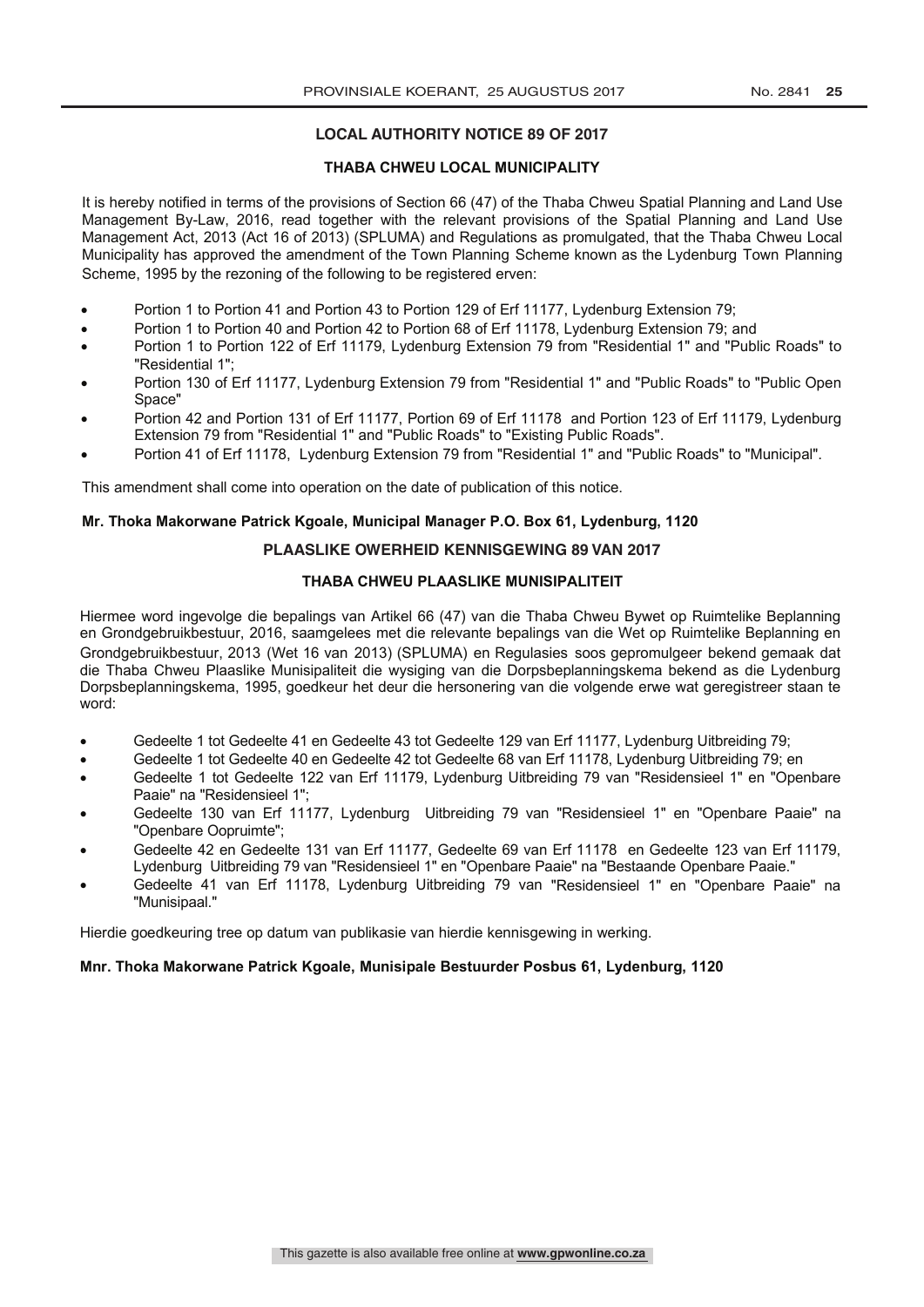# **LOCAL AUTHORITY NOTICE 89 OF 2017**

#### **THABA CHWEU LOCAL MUNICIPALITY**

It is hereby notified in terms of the provisions of Section 66 (47) of the Thaba Chweu Spatial Planning and Land Use Management By-Law, 2016, read together with the relevant provisions of the Spatial Planning and Land Use Management Act, 2013 (Act 16 of 2013) (SPLUMA) and Regulations as promulgated, that the Thaba Chweu Local Municipality has approved the amendment of the Town Planning Scheme known as the Lydenburg Town Planning Scheme, 1995 by the rezoning of the following to be registered erven:

- Portion 1 to Portion 41 and Portion 43 to Portion 129 of Erf 11177, Lydenburg Extension 79;
- Portion 1 to Portion 40 and Portion 42 to Portion 68 of Erf 11178, Lydenburg Extension 79; and
- Portion 1 to Portion 122 of Erf 11179, Lydenburg Extension 79 from "Residential 1" and "Public Roads" to "Residential 1";
- Portion 130 of Erf 11177, Lydenburg Extension 79 from "Residential 1" and "Public Roads" to "Public Open Space"
- Portion 42 and Portion 131 of Erf 11177, Portion 69 of Erf 11178 and Portion 123 of Erf 11179, Lydenburg Extension 79 from "Residential 1" and "Public Roads" to "Existing Public Roads".
- Portion 41 of Erf 11178, Lydenburg Extension 79 from "Residential 1" and "Public Roads" to "Municipal".

This amendment shall come into operation on the date of publication of this notice.

#### **Mr. Thoka Makorwane Patrick Kgoale, Municipal Manager P.O. Box 61, Lydenburg, 1120**

### **PLAASLIKE OWERHEID KENNISGEWING 89 VAN 2017**

### **THABA CHWEU PLAASLIKE MUNISIPALITEIT**

Hiermee word ingevolge die bepalings van Artikel 66 (47) van die Thaba Chweu Bywet op Ruimtelike Beplanning en Grondgebruikbestuur, 2016, saamgelees met die relevante bepalings van die Wet op Ruimtelike Beplanning en Grondgebruikbestuur, 2013 (Wet 16 van 2013) (SPLUMA) en Regulasies soos gepromulgeer bekend gemaak dat die Thaba Chweu Plaaslike Munisipaliteit die wysiging van die Dorpsbeplanningskema bekend as die Lydenburg Dorpsbeplanningskema, 1995, goedkeur het deur die hersonering van die volgende erwe wat geregistreer staan te word:

- Gedeelte 1 tot Gedeelte 41 en Gedeelte 43 tot Gedeelte 129 van Erf 11177, Lydenburg Uitbreiding 79;
- Gedeelte 1 tot Gedeelte 40 en Gedeelte 42 tot Gedeelte 68 van Erf 11178, Lydenburg Uitbreiding 79; en
- Gedeelte 1 tot Gedeelte 122 van Erf 11179, Lydenburg Uitbreiding 79 van "Residensieel 1" en "Openbare Paaie" na "Residensieel 1";
- Gedeelte 130 van Erf 11177, Lydenburg Uitbreiding 79 van "Residensieel 1" en "Openbare Paaie" na "Openbare Oopruimte";
- Gedeelte 42 en Gedeelte 131 van Erf 11177, Gedeelte 69 van Erf 11178 en Gedeelte 123 van Erf 11179, Lydenburg Uitbreiding 79 van "Residensieel 1" en "Openbare Paaie" na "Bestaande Openbare Paaie."
- Gedeelte 41 van Erf 11178, Lydenburg Uitbreiding 79 van "Residensieel 1" en "Openbare Paaie" na "Munisipaal."

Hierdie goedkeuring tree op datum van publikasie van hierdie kennisgewing in werking.

#### **Mnr. Thoka Makorwane Patrick Kgoale, Munisipale Bestuurder Posbus 61, Lydenburg, 1120**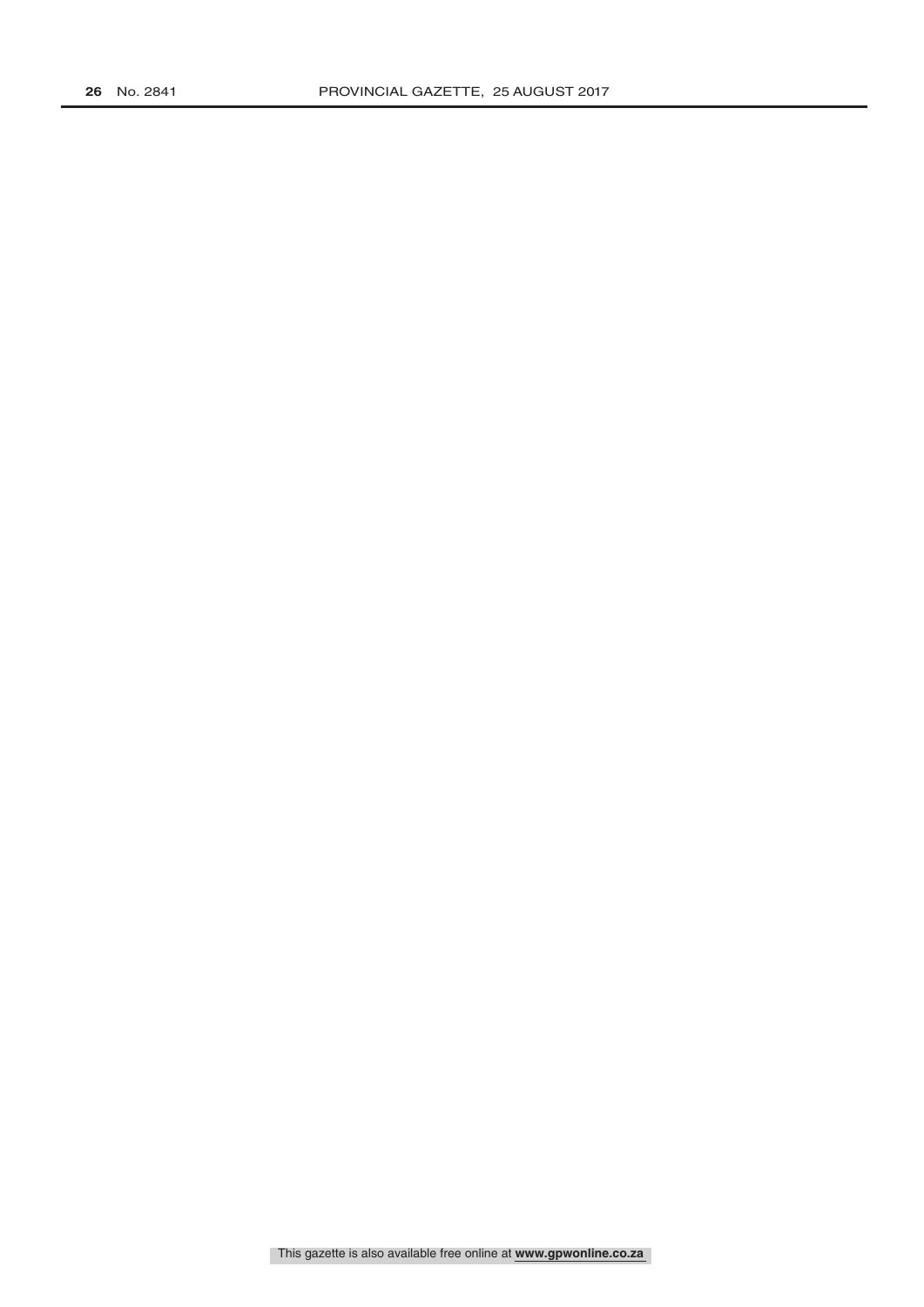This gazette is also available free online at **www.gpwonline.co.za**